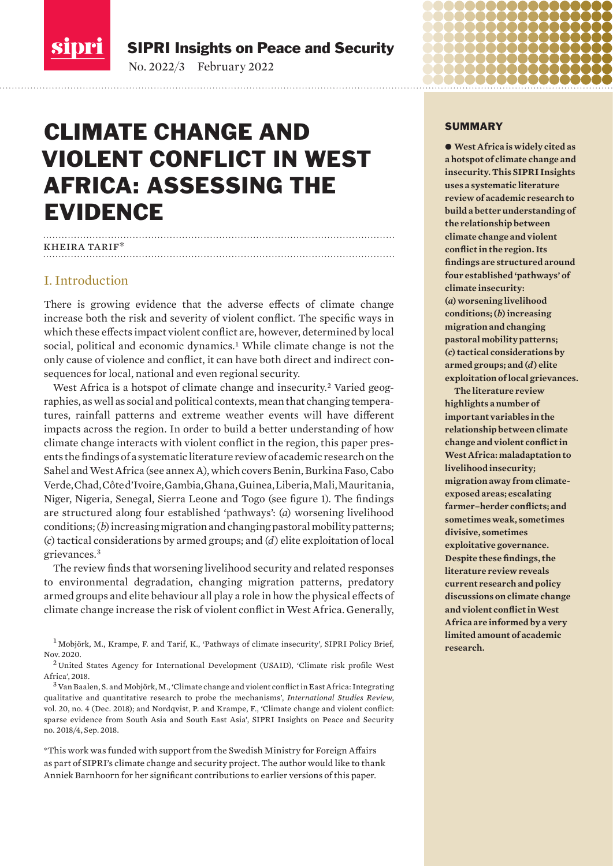<span id="page-0-0"></span>

SIPRI Insights on Peace and Security

No. 2022/3 February 2022

## CLIMATE CHANGE AND VIOLENT CONFLICT IN WEST AFRICA: ASSESSING THE EVIDENCE

### kheira tarif\*

### I. Introduction

There is growing evidence that the adverse effects of climate change increase both the risk and severity of violent conflict. The specific ways in which these effects impact violent conflict are, however, determined by local social, political and economic dynamics.<sup>1</sup> While climate change is not the only cause of violence and conflict, it can have both direct and indirect consequences for local, national and even regional security.

West Africa is a hotspot of climate change and insecurity.<sup>2</sup> Varied geographies, as well as social and political contexts, mean that changing temperatures, rainfall patterns and extreme weather events will have different impacts across the region. In order to build a better understanding of how climate change interacts with violent conflict in the region, this paper presents the findings of a systematic literature review of academic research on the Sahel and West Africa (see annex A), which covers Benin, Burkina Faso, Cabo Verde, Chad, Côte d'Ivoire, Gambia, Ghana, Guinea, Liberia, Mali, Mauritania, Niger, Nigeria, Senegal, Sierra Leone and Togo (see figure 1). The findings are structured along four established 'pathways': (*a*) worsening livelihood conditions; (*b*) increasing migration and changing pastoral mobility patterns; (*c*) tactical considerations by armed groups; and (*d*) elite exploitation of local grievances.<sup>3</sup>

The review finds that worsening livelihood security and related responses to environmental degradation, changing migration patterns, predatory armed groups and elite behaviour all play a role in how the physical effects of climate change increase the risk of violent conflict in West Africa. Generally,

<sup>1</sup> Mobjörk, M., Krampe, F. and Tarif, K., '[Pathways of climate insecurity'](https://www.sipri.org/sites/default/files/2020-11/pb_2011_pathways_2.pdf), SIPRI Policy Brief, Nov. 2020.

<sup>2</sup> United States Agency for International Development (USAID), ['Climate risk profile West](https://www.climatelinks.org/sites/default/files/asset/document/West_Africa_CRP_Final.pdf)  [Africa'](https://www.climatelinks.org/sites/default/files/asset/document/West_Africa_CRP_Final.pdf), 2018.

<sup>3</sup> Van Baalen, S. and Mobjörk, M., 'Climate change and violent conflict in East Africa: Integrating [qualitative and quantitative research to probe the mechanisms](https://academic.oup.com/isr/article/20/4/547/4616607)', *International Studies Review*, vol. 20, no. 4 (Dec. 2018); and Nordqvist, P. and Krampe, F., ['Climate change and violent conflict:](https://www.sipri.org/sites/default/files/2018-09/sipriinsight1804.pdf)  [sparse evidence from South Asia and South East Asia'](https://www.sipri.org/sites/default/files/2018-09/sipriinsight1804.pdf), SIPRI Insights on Peace and Security no. 2018/4, Sep. 2018.

\*This work was funded with support from the Swedish Ministry for Foreign Affairs as part of SIPRI's climate change and security project. The author would like to thank Anniek Barnhoorn for her significant contributions to earlier versions of this paper.

### SUMMARY

 $\bullet$  West Africa is widely cited as **a hotspot of climate change and insecurity. This SIPRI Insights uses a systematic literature review of academic research to build a better understanding of the relationship between climate change and violent conflict in the region. Its findings are structured around four established 'pathways' of climate insecurity: (***a***) worsening livelihood conditions; (***b***) increasing migration and changing pastoral mobility patterns; (***c***) tactical considerations by armed groups; and (***d***) elite exploitation of local grievances.** 

**The literature review highlights a number of important variables in the relationship between climate change and violent conflict in West Africa: maladaptation to livelihood insecurity; migration away from climateexposed areas; escalating farmer–herder conflicts; and sometimes weak, sometimes divisive, sometimes exploitative governance. Despite these findings, the literature review reveals current research and policy discussions on climate change and violent conflict in West Africa are informed by a very limited amount of academic research.**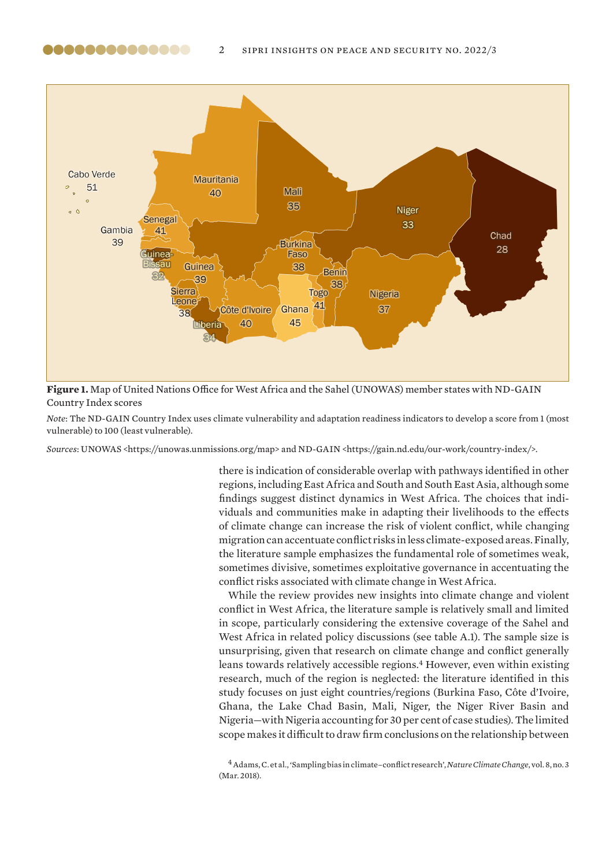

,,,,,,,,,,,,,

**Figure 1.** Map of United Nations Office for West Africa and the Sahel (UNOWAS) member states with ND-GAIN Country Index scores

*Note*: The ND-GAIN Country Index uses climate vulnerability and adaptation readiness indicators to develop a score from 1 (most vulnerable) to 100 (least vulnerable).

*Sources*: UNOWAS <https://unowas.unmissions.org/map> and ND-GAIN <https://gain.nd.edu/our-work/country-index/>.

there is indication of considerable overlap with pathways identified in other regions, including East Africa and South and South East Asia, although some findings suggest distinct dynamics in West Africa. The choices that individuals and communities make in adapting their livelihoods to the effects of climate change can increase the risk of violent conflict, while changing migration can accentuate conflict risks in less climate-exposed areas. Finally, the literature sample emphasizes the fundamental role of sometimes weak, sometimes divisive, sometimes exploitative governance in accentuating the conflict risks associated with climate change in West Africa.

While the review provides new insights into climate change and violent conflict in West Africa, the literature sample is relatively small and limited in scope, particularly considering the extensive coverage of the Sahel and West Africa in related policy discussions (see table A.1). The sample size is unsurprising, given that research on climate change and conflict generally leans towards relatively accessible regions.<sup>4</sup> However, even within existing research, much of the region is neglected: the literature identified in this study focuses on just eight countries/regions (Burkina Faso, Côte d'Ivoire, Ghana, the Lake Chad Basin, Mali, Niger, the Niger River Basin and Nigeria—with Nigeria accounting for 30 per cent of case studies). The limited scope makes it difficult to draw firm conclusions on the relationship between

<sup>4</sup>Adams, C. et al., '[Sampling bias in climate–conflict research](https://www.nature.com/articles/s41558-018-0068-2)', *Nature Climate Change*, vol. 8, no. 3 (Mar. 2018).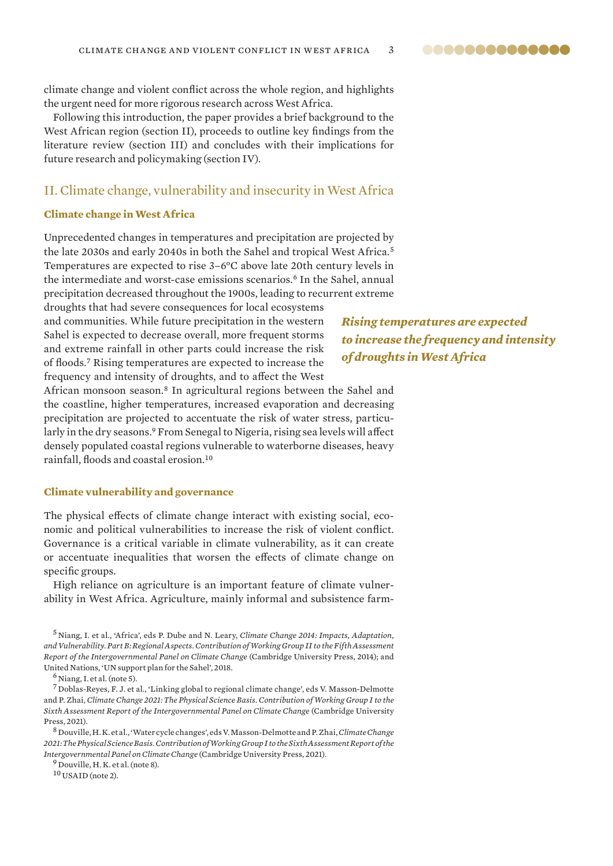<span id="page-2-0"></span>climate change and violent conflict across the whole region, and highlights the urgent need for more rigorous research across West Africa.

Following this introduction, the paper provides a brief background to the West African region (section II), proceeds to outline key findings from the literature review (section III) and concludes with their implications for future research and policymaking (section IV).

### II. Climate change, vulnerability and insecurity in West Africa

### **Climate change in West Africa**

Unprecedented changes in temperatures and precipitation are projected by the late 2030s and early 2040s in both the Sahel and tropical West Africa.<sup>5</sup> Temperatures are expected to rise 3–6°C above late 20th century levels in the intermediate and worst-case emissions scenarios.<sup>6</sup> In the Sahel, annual precipitation decreased throughout the 1900s, leading to recurrent extreme

droughts that had severe consequences for local ecosystems and communities. While future precipitation in the western Sahel is expected to decrease overall, more frequent storms and extreme rainfall in other parts could increase the risk of floods.<sup>7</sup> Rising temperatures are expected to increase the frequency and intensity of droughts, and to affect the West

*Rising temperatures are expected to increase the frequency and intensity of droughts in West Africa*

African monsoon season.<sup>8</sup> In agricultural regions between the Sahel and the coastline, higher temperatures, increased evaporation and decreasing precipitation are projected to accentuate the risk of water stress, particularly in the dry seasons.<sup>9</sup> From Senegal to Nigeria, rising sea levels will affect densely populated coastal regions vulnerable to waterborne diseases, heavy rainfall, floods and coastal erosion.<sup>10</sup>

### **Climate vulnerability and governance**

The physical effects of climate change interact with existing social, economic and political vulnerabilities to increase the risk of violent conflict. Governance is a critical variable in climate vulnerability, as it can create or accentuate inequalities that worsen the effects of climate change on specific groups.

High reliance on agriculture is an important feature of climate vulnerability in West Africa. Agriculture, mainly informal and subsistence farm-

 $<sup>6</sup>$  Niang, I. et al. (note 5).</sup>

<sup>7</sup> Doblas-Reyes, F. J. et al., '[Linking global to regional climate change](https://www.ipcc.ch/report/ar6/wg1/downloads/report/IPCC_AR6_WGI_Chapter_10.pdf)', eds V. Masson-Delmotte and P. Zhai, *Climate Change 2021: The Physical Science Basis. Contribution of Working Group I to the Sixth Assessment Report of the Intergovernmental Panel on Climate Change* (Cambridge University Press, 2021).

<sup>8</sup> Douville, H. K. et al., '[Water cycle changes](https://www.ipcc.ch/report/ar6/wg1/downloads/report/IPCC_AR6_WGI_Chapter_08.pdf)', eds V. Masson-Delmotte and P. Zhai, *Climate Change 2021: The Physical Science Basis. Contribution of Working Group I to the Sixth Assessment Report of the Intergovernmental Panel on Climate Change* (Cambridge University Press, 2021).

<sup>9</sup> Douville, H. K. et al. (note 8).

<sup>10</sup> USAID (note 2).

<sup>5</sup> Niang, I. et al., ['Africa](https://www.ipcc.ch/site/assets/uploads/2018/02/WGIIAR5-Chap22_FINAL.pdf)', eds P. Dube and N. Leary, *Climate Change 2014: Impacts, Adaptation, and Vulnerability. Part B: Regional Aspects. Contribution of Working Group II to the Fifth Assessment Report of the Intergovernmental Panel on Climate Change* (Cambridge University Press, 2014); and United Nations, '[UN support plan for the Sahel](https://unowas.unmissions.org/sites/default/files/english_summary_report.pdf)', 2018.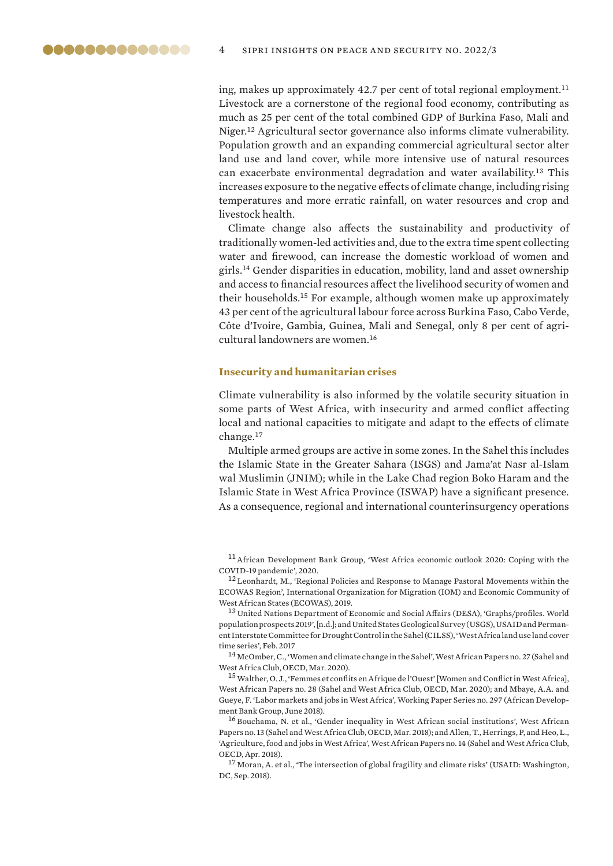<span id="page-3-0"></span>ing, makes up approximately 42.7 per cent of total regional employment.<sup>11</sup> Livestock are a cornerstone of the regional food economy, contributing as much as 25 per cent of the total combined GDP of Burkina Faso, Mali and Niger.<sup>12</sup> Agricultural sector governance also informs climate vulnerability. Population growth and an expanding commercial agricultural sector alter land use and land cover, while more intensive use of natural resources can exacerbate environmental degradation and water availability.<sup>13</sup> This increases exposure to the negative effects of climate change, including rising temperatures and more erratic rainfall, on water resources and crop and livestock health.

Climate change also affects the sustainability and productivity of traditionally women-led activities and, due to the extra time spent collecting water and firewood, can increase the domestic workload of women and girls.<sup>14</sup> Gender disparities in education, mobility, land and asset ownership and access to financial resources affect the livelihood security of women and their households.<sup>15</sup> For example, although women make up approximately 43 per cent of the agricultural labour force across Burkina Faso, Cabo Verde, Côte d'Ivoire, Gambia, Guinea, Mali and Senegal, only 8 per cent of agricultural landowners are women.<sup>16</sup>

#### **Insecurity and humanitarian crises**

Climate vulnerability is also informed by the volatile security situation in some parts of West Africa, with insecurity and armed conflict affecting local and national capacities to mitigate and adapt to the effects of climate change.<sup>17</sup>

Multiple armed groups are active in some zones. In the Sahel this includes the Islamic State in the Greater Sahara (ISGS) and Jama'at Nasr al-Islam wal Muslimin (JNIM); while in the Lake Chad region Boko Haram and the Islamic State in West Africa Province (ISWAP) have a significant presence. As a consequence, regional and international counterinsurgency operations

<sup>11</sup>African Development Bank Group, '[West Africa economic outlook 2020: Coping with the](https://www.afdb.org/en/documents/west-africa-economic-outlook-2020-coping-covid-19-pandemic)  [COVID-19 pandemic](https://www.afdb.org/en/documents/west-africa-economic-outlook-2020-coping-covid-19-pandemic)', 2020.

<sup>12</sup> Leonhardt, M., 'Regional Policies and Response to Manage Pastoral Movements within the [ECOWAS Region](https://publications.iom.int/system/files/pdf/iom_ecowas_pastoralism.pdf)', International Organization for Migration (IOM) and Economic Community of West African States (ECOWAS), 2019.

<sup>13</sup> United Nations Department of Economic and Social Affairs (DESA), '[Graphs/profiles. World](https://population.un.org/wpp/Graphs/1_Demographic%20Profiles/Western%20Africa.pdf)  [population prospects 2019](https://population.un.org/wpp/Graphs/1_Demographic%20Profiles/Western%20Africa.pdf)', [n.d.]; and United States Geological Survey (USGS), USAID and Permanent Interstate Committee for Drought Control in the Sahel (CILSS), ['West Africa land use land cover](https://pubs.usgs.gov/fs/2017/3004/fs20173004.pdf)  [time series](https://pubs.usgs.gov/fs/2017/3004/fs20173004.pdf)', Feb. 2017

<sup>14</sup> McOmber, C., '[Women and climate change in the Sahel'](https://www.oecd-ilibrary.org/development/women-and-climate-change-in-the-sahel_e31c77ad-en), West African Papers no. 27 (Sahel and West Africa Club, OECD, Mar. 2020).

<sup>15</sup>Walther, O. J., '[Femmes et conflits en Afrique de l'Ouest'](https://www.oecd-ilibrary.org/urban-rural-and-regional-development/femmes-et-conflits-en-afrique-de-l-ouest_d5004dd3-fr) [Women and Conflict in West Africa], West African Papers no. 28 (Sahel and West Africa Club, OECD, Mar. 2020); and Mbaye, A.A. and Gueye, F. '[Labor markets and jobs in West Africa](https://www.afdb.org/fileadmin/uploads/afdb/Documents/Publications/WPS_No_297_Labor_Markets_and_Jobs_in_West_Africa_B._docx.pdf)', Working Paper Series no. 297 (African Development Bank Group, June 2018).

<sup>16</sup> Bouchama, N. et al., '[Gender inequality in West African social institutions](https://www.oecd-ilibrary.org/development/gender-inequality-in-west-african-social-institutions_fe5ea0ca-en)', West African Papers no. 13 (Sahel and West Africa Club, OECD, Mar. 2018); and Allen, T., Herrings, P, and Heo, L., ['Agriculture, food and jobs in West Africa'](https://www.oecd-ilibrary.org/agriculture-and-food/agriculture-food-and-jobs-in-west-africa_dc152bc0-en), West African Papers no. 14 (Sahel and West Africa Club, OECD, Apr. 2018).

<sup>17</sup> Moran, A. et al., '[The intersection of global fragility and climate risks'](https://reliefweb.int/report/world/intersection-global-fragility-and-climate-risks) (USAID: Washington, DC, Sep. 2018).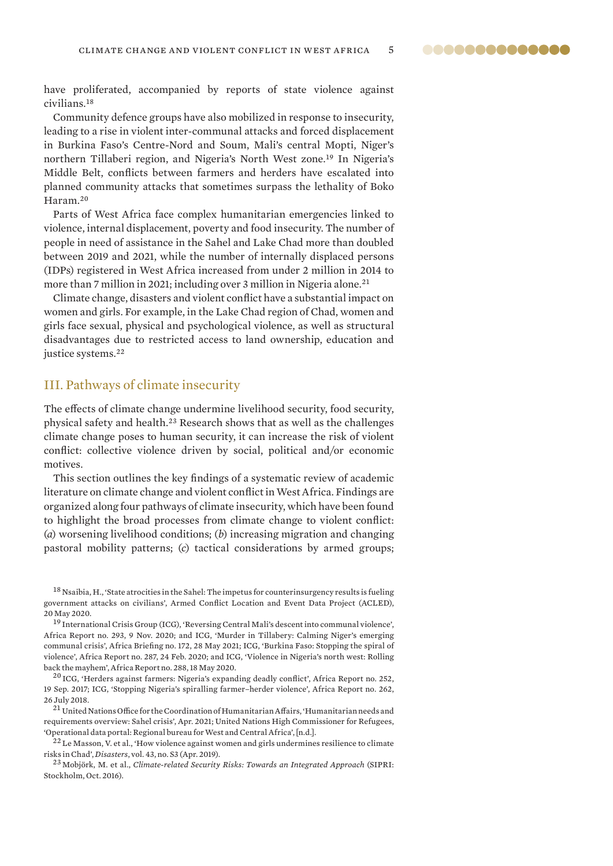<span id="page-4-0"></span>have proliferated, accompanied by reports of state violence against civilians.<sup>18</sup>

Community defence groups have also mobilized in response to insecurity, leading to a rise in violent inter-communal attacks and forced displacement in Burkina Faso's Centre-Nord and Soum, Mali's central Mopti, Niger's northern Tillaberi region, and Nigeria's North West zone.<sup>19</sup> In Nigeria's Middle Belt, conflicts between farmers and herders have escalated into planned community attacks that sometimes surpass the lethality of Boko Haram.<sup>20</sup>

Parts of West Africa face complex humanitarian emergencies linked to violence, internal displacement, poverty and food insecurity. The number of people in need of assistance in the Sahel and Lake Chad more than doubled between 2019 and 2021, while the number of internally displaced persons (IDPs) registered in West Africa increased from under 2 million in 2014 to more than 7 million in 2021; including over 3 million in Nigeria alone.<sup>21</sup>

Climate change, disasters and violent conflict have a substantial impact on women and girls. For example, in the Lake Chad region of Chad, women and girls face sexual, physical and psychological violence, as well as structural disadvantages due to restricted access to land ownership, education and justice systems.<sup>22</sup>

### III. Pathways of climate insecurity

The effects of climate change undermine livelihood security, food security, physical safety and health.<sup>23</sup> Research shows that as well as the challenges climate change poses to human security, it can increase the risk of violent conflict: collective violence driven by social, political and/or economic motives.

This section outlines the key findings of a systematic review of academic literature on climate change and violent conflict in West Africa. Findings are organized along four pathways of climate insecurity, which have been found to highlight the broad processes from climate change to violent conflict: (*a*) worsening livelihood conditions; (*b*) increasing migration and changing pastoral mobility patterns; (*c*) tactical considerations by armed groups;

 $18$  Nsaibia, H., 'State atrocities in the Sahel: The impetus for counterinsurgency results is fueling [government attacks on civilians](https://acleddata.com/2020/05/20/state-atrocities-in-the-sahel-the-impetus-for-counter-insurgency-results-is-fueling-government-attacks-on-civilians/)', Armed Conflict Location and Event Data Project (ACLED), 20 May 2020.

<sup>19</sup> International Crisis Group (ICG), '[Reversing Central Mali's descent into communal violence](https://www.crisisgroup.org/africa/sahel/mali/293-enrayer-la-communautarisation-de-la-violence-au-centre-du-mali)', Africa Report no. 293, 9 Nov. 2020; and ICG, '[Murder in Tillabery: Calming Niger's emerging](https://www.crisisgroup.org/africa/sahel/niger/b172-murder-tillabery-calming-nigers-emerging-communal-crisis)  [communal crisis'](https://www.crisisgroup.org/africa/sahel/niger/b172-murder-tillabery-calming-nigers-emerging-communal-crisis), Africa Briefing no. 172, 28 May 2021; ICG, '[Burkina Faso: Stopping the spiral of](https://www.crisisgroup.org/africa/sahel/burkina-faso/287-burkina-faso-sortir-de-la-spirale-des-violences)  [violence'](https://www.crisisgroup.org/africa/sahel/burkina-faso/287-burkina-faso-sortir-de-la-spirale-des-violences), Africa Report no. 287, 24 Feb. 2020; and ICG, '[Violence in Nigeria's north west: Rolling](https://www.crisisgroup.org/africa/west-africa/nigeria/288-violence-nigerias-north-west-rolling-back-mayhem)  [back the mayhem'](https://www.crisisgroup.org/africa/west-africa/nigeria/288-violence-nigerias-north-west-rolling-back-mayhem), Africa Report no. 288, 18 May 2020.

<sup>20</sup> ICG, ['Herders against farmers: Nigeria's expanding deadly conflict](https://www.crisisgroup.org/africa/west-africa/nigeria/252-herders-against-farmers-nigerias-expanding-deadly-conflict)', Africa Report no. 252, 19 Sep. 2017; ICG, '[Stopping Nigeria's spiralling farmer–herder violence'](https://www.crisisgroup.org/africa/west-africa/nigeria/262-stopping-nigerias-spiralling-farmer-herder-violence), Africa Report no. 262, 26 July 2018.

<sup>21</sup> United Nations Office for the Coordination of Humanitarian Affairs, 'Humanitarian needs and [requirements overview: Sahel crisis'](https://reliefweb.int/report/burkina-faso/sahel-crisis-humanitarian-needs-and-requirements-overview-april-2021), Apr. 2021; United Nations High Commissioner for Refugees, ['Operational data portal: Regional bureau for West and Central Africa'](https://data2.unhcr.org/en/situations/rbwca), [n.d.].

 $^{22}$  Le Masson, V. et al., 'How violence against women and girls undermines resilience to climate [risks in Chad'](https://onlinelibrary.wiley.com/doi/full/10.1111/disa.12343), *Disasters*, vol. 43, no. S3 (Apr. 2019).

<sup>23</sup> Mobjörk, M. et al., *[Climate-related Security Risks: Towards an Integrated Approach](https://www.sipri.org/sites/default/files/Climate-related-security-risks.pdf)* (SIPRI: Stockholm, Oct. 2016).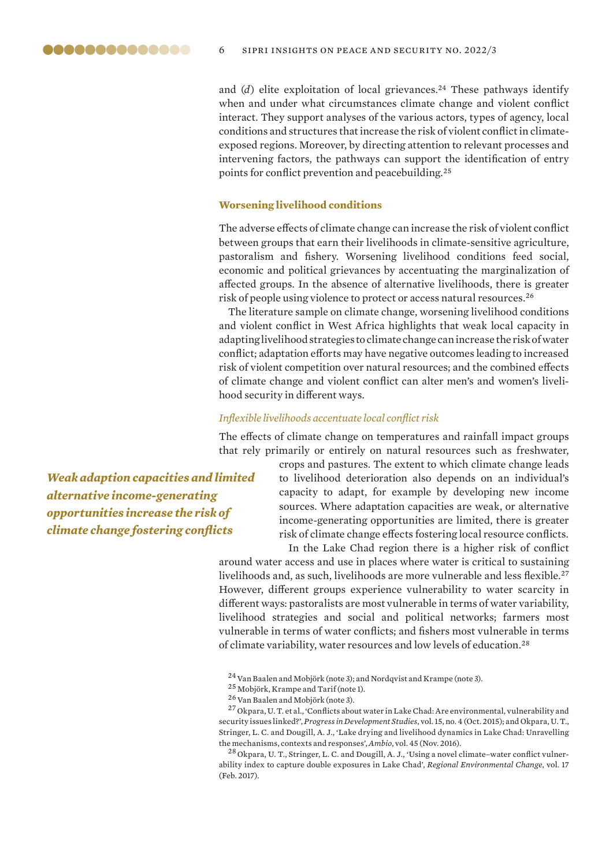<span id="page-5-0"></span>and  $(d)$  elite exploitation of local grievances.<sup>24</sup> These pathways identify when and under what circumstances climate change and violent conflict interact. They support analyses of the various actors, types of agency, local conditions and structures that increase the risk of violent conflict in climateexposed regions. Moreover, by directing attention to relevant processes and intervening factors, the pathways can support the identification of entry points for conflict prevention and peacebuilding.<sup>25</sup>

### **Worsening livelihood conditions**

The adverse effects of climate change can increase the risk of violent conflict between groups that earn their livelihoods in climate-sensitive agriculture, pastoralism and fishery. Worsening livelihood conditions feed social, economic and political grievances by accentuating the marginalization of affected groups. In the absence of alternative livelihoods, there is greater risk of people using violence to protect or access natural resources.<sup>26</sup>

The literature sample on climate change, worsening livelihood conditions and violent conflict in West Africa highlights that weak local capacity in adapting livelihood strategies to climate change can increase the risk of water conflict; adaptation efforts may have negative outcomes leading to increased risk of violent competition over natural resources; and the combined effects of climate change and violent conflict can alter men's and women's livelihood security in different ways.

#### *Inflexible livelihoods accentuate local conflict risk*

The effects of climate change on temperatures and rainfall impact groups that rely primarily or entirely on natural resources such as freshwater,

*Weak adaption capacities and limited alternative income-generating opportunities increase the risk of climate change fostering conflicts*

crops and pastures. The extent to which climate change leads to livelihood deterioration also depends on an individual's capacity to adapt, for example by developing new income sources. Where adaptation capacities are weak, or alternative income-generating opportunities are limited, there is greater risk of climate change effects fostering local resource conflicts.

In the Lake Chad region there is a higher risk of conflict around water access and use in places where water is critical to sustaining livelihoods and, as such, livelihoods are more vulnerable and less flexible.<sup>27</sup> However, different groups experience vulnerability to water scarcity in different ways: pastoralists are most vulnerable in terms of water variability, livelihood strategies and social and political networks; farmers most vulnerable in terms of water conflicts; and fishers most vulnerable in terms of climate variability, water resources and low levels of education.<sup>28</sup>

<sup>24</sup> Van Baalen and Mobjörk (note 3); and Nordqvist and Krampe (note 3).

<sup>28</sup> Okpara, U. T., Stringer, L. C. and Dougill, A. J., '[Using a novel climate–water conflict vulner](https://link.springer.com/article/10.1007/s10113-016-1003-6)[ability index to capture double exposures in Lake Chad'](https://link.springer.com/article/10.1007/s10113-016-1003-6), *Regional Environmental Change*, vol. 17 (Feb. 2017).

<sup>25</sup> Mobjörk, Krampe and Tarif (note 1).

<sup>&</sup>lt;sup>26</sup> Van Baalen and Mobjörk (note 3).

<sup>27</sup> Okpara, U. T. et al., ['Conflicts about water in Lake Chad: Are environmental, vulnerability and](https://journals.sagepub.com/doi/abs/10.1177/1464993415592738)  [security issues linked?'](https://journals.sagepub.com/doi/abs/10.1177/1464993415592738), *Progress in Development Studies*, vol. 15, no. 4 (Oct. 2015); and Okpara, U. T., Stringer, L. C. and Dougill, A. J., '[Lake drying and livelihood dynamics in Lake Chad: Unravelling](https://link.springer.com/article/10.1007/s13280-016-0805-6)  [the mechanisms, contexts and responses'](https://link.springer.com/article/10.1007/s13280-016-0805-6), *Ambio*, vol. 45 (Nov. 2016).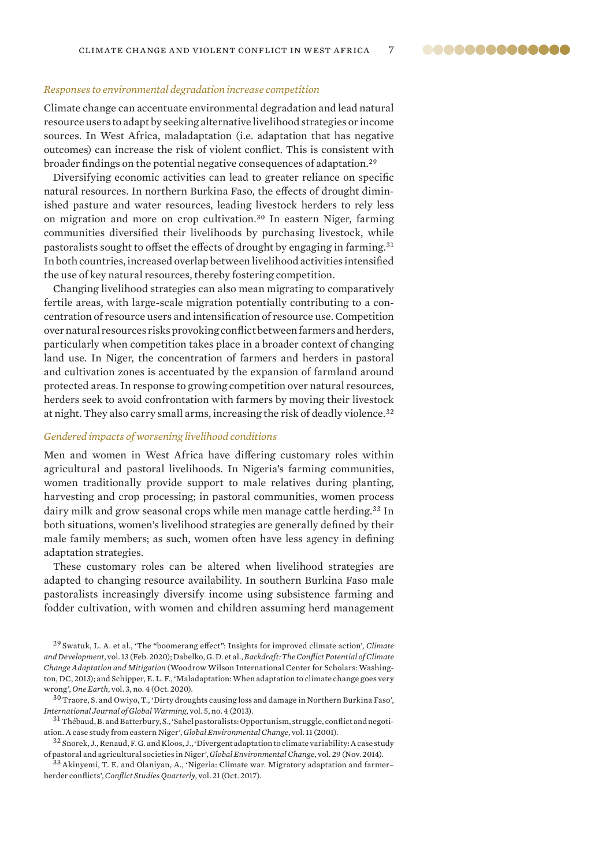### *Responses to environmental degradation increase competition*

Climate change can accentuate environmental degradation and lead natural resource users to adapt by seeking alternative livelihood strategies or income sources. In West Africa, maladaptation (i.e. adaptation that has negative outcomes) can increase the risk of violent conflict. This is consistent with broader findings on the potential negative consequences of adaptation.<sup>29</sup>

Diversifying economic activities can lead to greater reliance on specific natural resources. In northern Burkina Faso, the effects of drought diminished pasture and water resources, leading livestock herders to rely less on migration and more on crop cultivation.<sup>30</sup> In eastern Niger, farming communities diversified their livelihoods by purchasing livestock, while pastoralists sought to offset the effects of drought by engaging in farming.<sup>31</sup> In both countries, increased overlap between livelihood activities intensified the use of key natural resources, thereby fostering competition.

Changing livelihood strategies can also mean migrating to comparatively fertile areas, with large-scale migration potentially contributing to a concentration of resource users and intensification of resource use. Competition over natural resources risks provoking conflict between farmers and herders, particularly when competition takes place in a broader context of changing land use. In Niger, the concentration of farmers and herders in pastoral and cultivation zones is accentuated by the expansion of farmland around protected areas. In response to growing competition over natural resources, herders seek to avoid confrontation with farmers by moving their livestock at night. They also carry small arms, increasing the risk of deadly violence.<sup>32</sup>

### *Gendered impacts of worsening livelihood conditions*

Men and women in West Africa have differing customary roles within agricultural and pastoral livelihoods. In Nigeria's farming communities, women traditionally provide support to male relatives during planting, harvesting and crop processing; in pastoral communities, women process dairy milk and grow seasonal crops while men manage cattle herding.<sup>33</sup> In both situations, women's livelihood strategies are generally defined by their male family members; as such, women often have less agency in defining adaptation strategies.

These customary roles can be altered when livelihood strategies are adapted to changing resource availability. In southern Burkina Faso male pastoralists increasingly diversify income using subsistence farming and fodder cultivation, with women and children assuming herd management

<sup>30</sup> Traore, S. and Owiyo, T., ['Dirty droughts causing loss and damage in Northern Burkina Faso](https://www.inderscienceonline.com/doi/full/10.1504/IJGW.2013.057288)', *International Journal of Global Warming*, vol. 5, no. 4 (2013).

 $32$  Snorek, J., Renaud, F. G. and Kloos, J., 'Divergent adaptation to climate variability: A case study [of pastoral and agricultural societies in Niger](https://www.sciencedirect.com/science/article/abs/pii/S0959378014001198)', *Global Environmental Change*, vol. 29 (Nov. 2014).

<sup>33</sup>Akinyemi, T. E. and Olaniyan, A., '[Nigeria: Climate war. Migratory adaptation and farmer–](http://www.csq.ro/wp-content/uploads/Temitope-Edward-AKINYEMI-Azeez-OLANIYAN.pdf) [herder conflicts'](http://www.csq.ro/wp-content/uploads/Temitope-Edward-AKINYEMI-Azeez-OLANIYAN.pdf), *Conflict Studies Quarterly*, vol. 21 (Oct. 2017).

@@@@@@@@@@@@@@

<sup>29</sup> Swatuk, L. A. et al., '[The "boomerang effect": Insights for improved climate action'](https://www.tandfonline.com/doi/abs/10.1080/17565529.2020.1723470?journalCode=tcld20), *Climate and Development*, vol. 13 (Feb. 2020); Dabelko, G. D. et al., *[Backdraft: The Conflict Potential of Climate](https://www.wilsoncenter.org/publication/backdraft-the-conflict-potential-climate-change-adaptation-and-mitigation)  [Change Adaptation and Mitigation](https://www.wilsoncenter.org/publication/backdraft-the-conflict-potential-climate-change-adaptation-and-mitigation)* (Woodrow Wilson International Center for Scholars: Washington, DC, 2013); and Schipper, E. L. F., '[Maladaptation: When adaptation to climate change goes very](https://www.sciencedirect.com/science/article/pii/S2590332220304838)  [wrong'](https://www.sciencedirect.com/science/article/pii/S2590332220304838), *One Earth*, vol. 3, no. 4 (Oct. 2020).

<sup>&</sup>lt;sup>31</sup> Thébaud, B. and Batterbury, S., '[Sahel pastoralists: Opportunism, struggle, conflict and negoti](https://www.sciencedirect.com/science/article/abs/pii/S0959378000000467)[ation. A case study from eastern Niger'](https://www.sciencedirect.com/science/article/abs/pii/S0959378000000467), *Global Environmental Change*, vol. 11 (2001).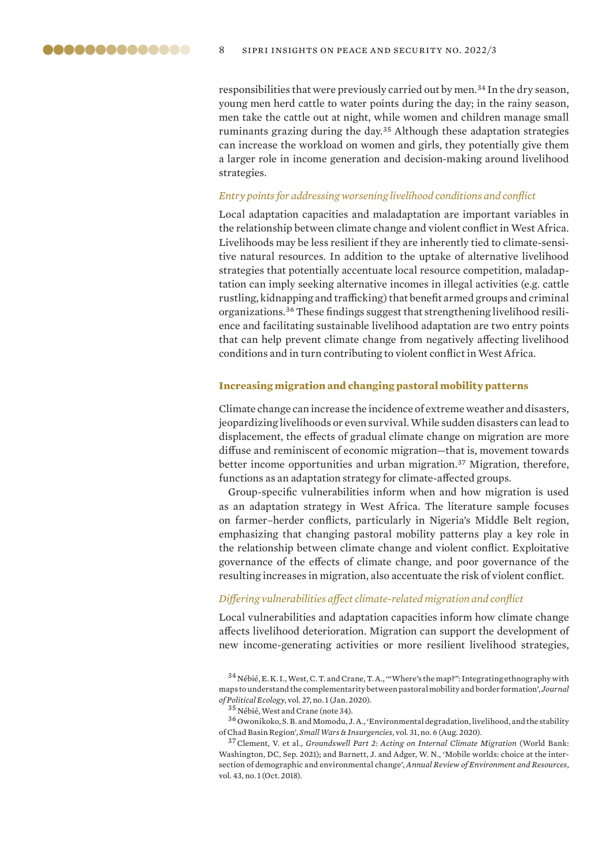<span id="page-7-0"></span>responsibilities that were previously carried out by men.<sup>34</sup> In the dry season, young men herd cattle to water points during the day; in the rainy season, men take the cattle out at night, while women and children manage small ruminants grazing during the day.<sup>35</sup> Although these adaptation strategies can increase the workload on women and girls, they potentially give them a larger role in income generation and decision-making around livelihood strategies.

### *Entry points for addressing worsening livelihood conditions and conflict*

Local adaptation capacities and maladaptation are important variables in the relationship between climate change and violent conflict in West Africa. Livelihoods may be less resilient if they are inherently tied to climate-sensitive natural resources. In addition to the uptake of alternative livelihood strategies that potentially accentuate local resource competition, maladaptation can imply seeking alternative incomes in illegal activities (e.g. cattle rustling, kidnapping and trafficking) that benefit armed groups and criminal organizations.36 These findings suggest that strengthening livelihood resilience and facilitating sustainable livelihood adaptation are two entry points that can help prevent climate change from negatively affecting livelihood conditions and in turn contributing to violent conflict in West Africa.

#### **Increasing migration and changing pastoral mobility patterns**

Climate change can increase the incidence of extreme weather and disasters, jeopardizing livelihoods or even survival. While sudden disasters can lead to displacement, the effects of gradual climate change on migration are more diffuse and reminiscent of economic migration—that is, movement towards better income opportunities and urban migration.<sup>37</sup> Migration, therefore, functions as an adaptation strategy for climate-affected groups.

Group-specific vulnerabilities inform when and how migration is used as an adaptation strategy in West Africa. The literature sample focuses on farmer–herder conflicts, particularly in Nigeria's Middle Belt region, emphasizing that changing pastoral mobility patterns play a key role in the relationship between climate change and violent conflict. Exploitative governance of the effects of climate change, and poor governance of the resulting increases in migration, also accentuate the risk of violent conflict.

### *Differing vulnerabilities affect climate-related migration and conflict*

Local vulnerabilities and adaptation capacities inform how climate change affects livelihood deterioration. Migration can support the development of new income-generating activities or more resilient livelihood strategies,

 $34$  Nébié, E. K. I., West, C. T. and Crane, T. A., "Where's the map?": Integrating ethnography with [maps to understand the complementarity between pastoral mobility and border formation'](https://journals.librarypublishing.arizona.edu/jpe/article/id/2258/), *Journal of Political Ecology*, vol. 27, no. 1 (Jan. 2020).

<sup>&</sup>lt;sup>35</sup> Nébié, West and Crane (note 34).

<sup>36</sup> Owonikoko, S. B. and Momodu, J. A., ['Environmental degradation, livelihood, and the stability](https://cogentoa.tandfonline.com/doi/abs/10.1080/09592318.2020.1776092?journalCode=fswi20)  [of Chad Basin Region](https://cogentoa.tandfonline.com/doi/abs/10.1080/09592318.2020.1776092?journalCode=fswi20)', *Small Wars & Insurgencies*, vol. 31, no. 6 (Aug. 2020).

<sup>37</sup>Clement, V. et al., *[Groundswell Part 2: Acting on Internal Climate Migration](https://openknowledge.worldbank.org/handle/10986/36248)* (World Bank: Washington, DC, Sep. 2021); and Barnett, J. and Adger, W. N., ['Mobile worlds: choice at the inter](https://www.annualreviews.org/doi/abs/10.1146/annurev-environ-102016-060952)[section of demographic and environmental change'](https://www.annualreviews.org/doi/abs/10.1146/annurev-environ-102016-060952), *Annual Review of Environment and Resources*, vol. 43, no. 1 (Oct. 2018).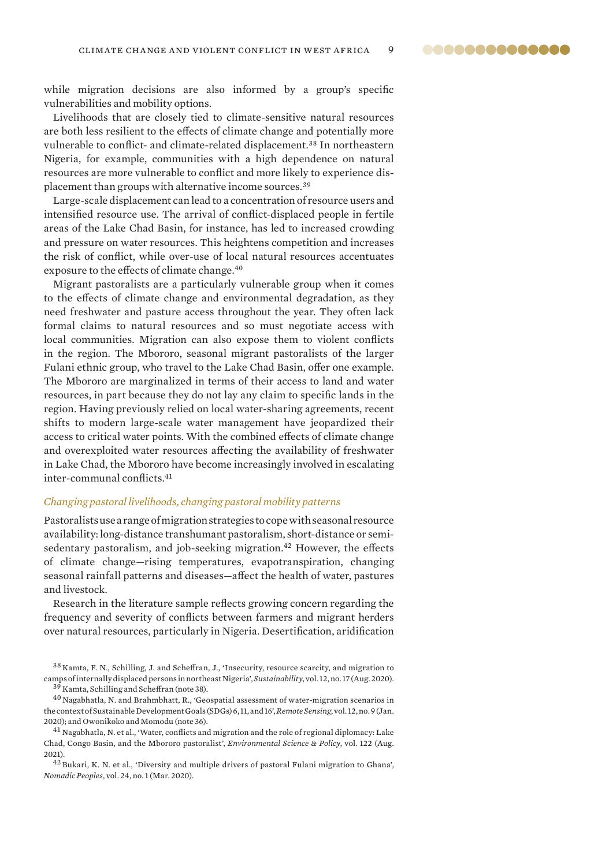while migration decisions are also informed by a group's specific vulnerabilities and mobility options.

Livelihoods that are closely tied to climate-sensitive natural resources are both less resilient to the effects of climate change and potentially more vulnerable to conflict- and climate-related displacement.<sup>38</sup> In northeastern Nigeria, for example, communities with a high dependence on natural resources are more vulnerable to conflict and more likely to experience displacement than groups with alternative income sources.<sup>39</sup>

Large-scale displacement can lead to a concentration of resource users and intensified resource use. The arrival of conflict-displaced people in fertile areas of the Lake Chad Basin, for instance, has led to increased crowding and pressure on water resources. This heightens competition and increases the risk of conflict, while over-use of local natural resources accentuates exposure to the effects of climate change.<sup>40</sup>

Migrant pastoralists are a particularly vulnerable group when it comes to the effects of climate change and environmental degradation, as they need freshwater and pasture access throughout the year. They often lack formal claims to natural resources and so must negotiate access with local communities. Migration can also expose them to violent conflicts in the region. The Mbororo, seasonal migrant pastoralists of the larger Fulani ethnic group, who travel to the Lake Chad Basin, offer one example. The Mbororo are marginalized in terms of their access to land and water resources, in part because they do not lay any claim to specific lands in the region. Having previously relied on local water-sharing agreements, recent shifts to modern large-scale water management have jeopardized their access to critical water points. With the combined effects of climate change and overexploited water resources affecting the availability of freshwater in Lake Chad, the Mbororo have become increasingly involved in escalating inter-communal conflicts.<sup>41</sup>

### *Changing pastoral livelihoods, changing pastoral mobility patterns*

Pastoralists use a range of migration strategies to cope with seasonal resource availability: long-distance transhumant pastoralism, short-distance or semisedentary pastoralism, and job-seeking migration.<sup>42</sup> However, the effects of climate change—rising temperatures, evapotranspiration, changing seasonal rainfall patterns and diseases—affect the health of water, pastures and livestock.

Research in the literature sample reflects growing concern regarding the frequency and severity of conflicts between farmers and migrant herders over natural resources, particularly in Nigeria. Desertification, aridification

<sup>38</sup> Kamta, F. N., Schilling, J. and Scheffran, J., '[Insecurity, resource scarcity, and migration to](https://www.mdpi.com/2071-1050/12/17/6830)  [camps of internally displaced persons in northeast Nigeria](https://www.mdpi.com/2071-1050/12/17/6830)', *Sustainability*, vol. 12, no. 17 (Aug. 2020). <sup>39</sup> Kamta, Schilling and Scheffran (note 38).

 $^{40}$  Nagabhatla, N. and Brahmbhatt, R., 'Geospatial assessment of water-migration scenarios in [the context of Sustainable Development Goals \(SDGs\) 6, 11, and 16](https://www.mdpi.com/2072-4292/12/9/1376)', *Remote Sensing*, vol. 12, no. 9 (Jan. 2020); and Owonikoko and Momodu (note 36).

<sup>41</sup> Nagabhatla, N. et al., 'Water, conflicts and migration and the role of regional diplomacy: Lake [Chad, Congo Basin, and the Mbororo pastoralist'](https://www.sciencedirect.com/science/article/abs/pii/S1462901121000903), *Environmental Science & Policy*, vol. 122 (Aug. 2021).

<sup>42</sup> Bukari, K. N. et al., '[Diversity and multiple drivers of pastoral Fulani migration to Ghana](https://www.semanticscholar.org/paper/Diversity-and-Multiple-Drivers-of-Pastoral-Fulani-Bukari-Bukari/d6d7b8311a6d6c73e4f6c4d13381522b483969e0)', *Nomadic Peoples*, vol. 24, no. 1 (Mar. 2020).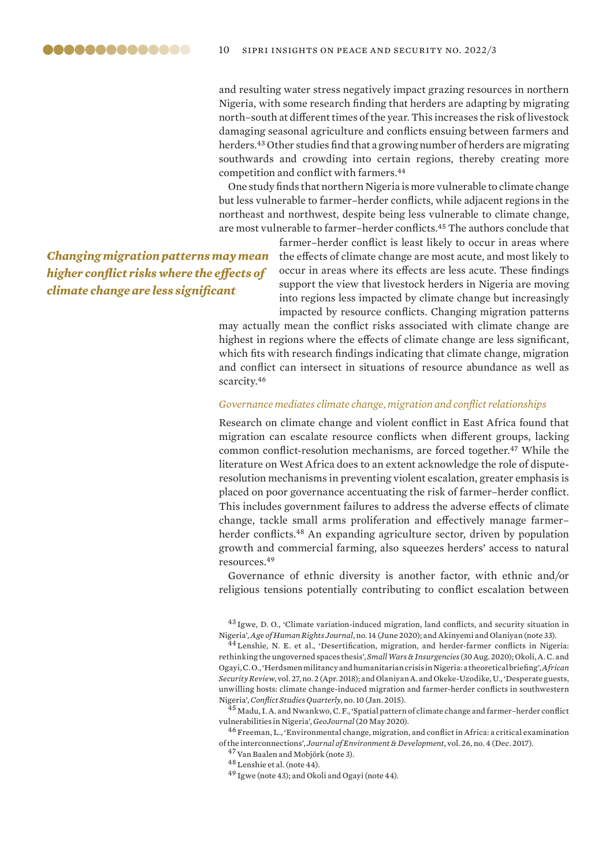and resulting water stress negatively impact grazing resources in northern Nigeria, with some research finding that herders are adapting by migrating north–south at different times of the year. This increases the risk of livestock damaging seasonal agriculture and conflicts ensuing between farmers and herders.<sup>43</sup> Other studies find that a growing number of herders are migrating southwards and crowding into certain regions, thereby creating more competition and conflict with farmers.<sup>44</sup>

One study finds that northern Nigeria is more vulnerable to climate change but less vulnerable to farmer–herder conflicts, while adjacent regions in the northeast and northwest, despite being less vulnerable to climate change, are most vulnerable to farmer–herder conflicts.<sup>45</sup> The authors conclude that

*Changing migration patterns may mean higher conflict risks where the effects of climate change are less significant*

farmer–herder conflict is least likely to occur in areas where the effects of climate change are most acute, and most likely to occur in areas where its effects are less acute. These findings support the view that livestock herders in Nigeria are moving into regions less impacted by climate change but increasingly impacted by resource conflicts. Changing migration patterns

may actually mean the conflict risks associated with climate change are highest in regions where the effects of climate change are less significant, which fits with research findings indicating that climate change, migration and conflict can intersect in situations of resource abundance as well as scarcity.<sup>46</sup>

### *Governance mediates climate change, migration and conflict relationships*

Research on climate change and violent conflict in East Africa found that migration can escalate resource conflicts when different groups, lacking common conflict-resolution mechanisms, are forced together.<sup>47</sup> While the literature on West Africa does to an extent acknowledge the role of disputeresolution mechanisms in preventing violent escalation, greater emphasis is placed on poor governance accentuating the risk of farmer–herder conflict. This includes government failures to address the adverse effects of climate change, tackle small arms proliferation and effectively manage farmer– herder conflicts.<sup>48</sup> An expanding agriculture sector, driven by population growth and commercial farming, also squeezes herders' access to natural resources.<sup>49</sup>

Governance of ethnic diversity is another factor, with ethnic and/or religious tensions potentially contributing to conflict escalation between

<sup>43</sup> Igwe, D. O., '[Climate variation-induced migration, land conflicts, and security situation in](https://revistaselectronicas.ujaen.es/index.php/TAHRJ/article/view/5478)  [Nigeria'](https://revistaselectronicas.ujaen.es/index.php/TAHRJ/article/view/5478), *Age of Human Rights Journal*, no. 14 (June 2020); and Akinyemi and Olaniyan (note 33).

44 Lenshie, N. E. et al., 'Desertification, migration, and herder-farmer conflicts in Nigeria: [rethinking the ungoverned spaces thesis](https://www.tandfonline.com/doi/abs/10.1080/09592318.2020.1811602?journalCode=fswi20)', *Small Wars & Insurgencies* (30 Aug. 2020); Okoli, A. C. and Ogayi, C. O., '[Herdsmen militancy and humanitarian crisis in Nigeria: a theoretical briefing'](https://www.tandfonline.com/doi/abs/10.1080/10246029.2018.1499545?journalCode=rasr20), *African Security Review*, vol. 27, no. 2 (Apr. 2018); and Olaniyan A. and Okeke-Uzodike, U., ['Desperate guests,](http://www.csq.ro/wp-content/uploads/CSQ-10.-Olaniyan-Okeke-Uzodike.pdf)  [unwilling hosts: climate change-induced migration and farmer-herder conflicts in southwestern](http://www.csq.ro/wp-content/uploads/CSQ-10.-Olaniyan-Okeke-Uzodike.pdf)  [Nigeria'](http://www.csq.ro/wp-content/uploads/CSQ-10.-Olaniyan-Okeke-Uzodike.pdf), *Conflict Studies Quarterly*, no. 10 (Jan. 2015).

<sup>45</sup> Madu, I. A. and Nwankwo, C. F., ['Spatial pattern of climate change and farmer–herder conflict](https://link.springer.com/article/10.1007/s10708-020-10223-2)  [vulnerabilities in Nigeria'](https://link.springer.com/article/10.1007/s10708-020-10223-2), *GeoJournal* (20 May 2020).

<sup>46</sup> Freeman, L., '[Environmental change, migration, and conflict in Africa: a critical examination](https://journals.sagepub.com/doi/abs/10.1177/1070496517727325)  [of the interconnections](https://journals.sagepub.com/doi/abs/10.1177/1070496517727325)', *Journal of Environment & Development*, vol. 26, no. 4 (Dec. 2017).

<sup>47</sup> Van Baalen and Mobjörk (note 3).

<sup>48</sup> Lenshie et al. (note 44).

<sup>49</sup> Igwe (note 43); and Okoli and Ogayi (note 44).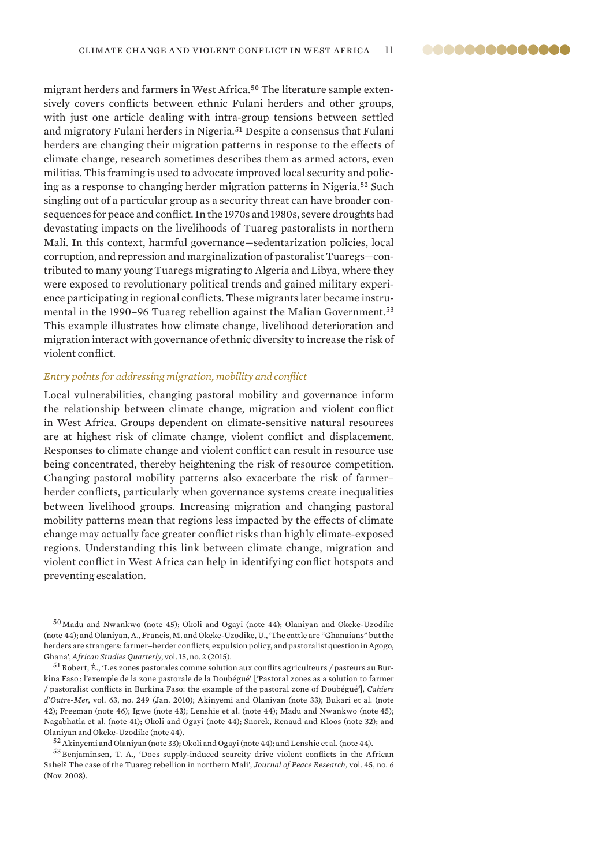<span id="page-10-0"></span>migrant herders and farmers in West Africa.<sup>50</sup> The literature sample extensively covers conflicts between ethnic Fulani herders and other groups, with just one article dealing with intra-group tensions between settled and migratory Fulani herders in Nigeria.<sup>51</sup> Despite a consensus that Fulani herders are changing their migration patterns in response to the effects of climate change, research sometimes describes them as armed actors, even militias. This framing is used to advocate improved local security and policing as a response to changing herder migration patterns in Nigeria.<sup>52</sup> Such singling out of a particular group as a security threat can have broader consequences for peace and conflict. In the 1970s and 1980s, severe droughts had devastating impacts on the livelihoods of Tuareg pastoralists in northern Mali. In this context, harmful governance—sedentarization policies, local corruption, and repression and marginalization of pastoralist Tuaregs—contributed to many young Tuaregs migrating to Algeria and Libya, where they were exposed to revolutionary political trends and gained military experience participating in regional conflicts. These migrants later became instrumental in the 1990-96 Tuareg rebellion against the Malian Government.<sup>53</sup> This example illustrates how climate change, livelihood deterioration and migration interact with governance of ethnic diversity to increase the risk of violent conflict.

### *Entry points for addressing migration, mobility and conflict*

Local vulnerabilities, changing pastoral mobility and governance inform the relationship between climate change, migration and violent conflict in West Africa. Groups dependent on climate-sensitive natural resources are at highest risk of climate change, violent conflict and displacement. Responses to climate change and violent conflict can result in resource use being concentrated, thereby heightening the risk of resource competition. Changing pastoral mobility patterns also exacerbate the risk of farmer– herder conflicts, particularly when governance systems create inequalities between livelihood groups. Increasing migration and changing pastoral mobility patterns mean that regions less impacted by the effects of climate change may actually face greater conflict risks than highly climate-exposed regions. Understanding this link between climate change, migration and violent conflict in West Africa can help in identifying conflict hotspots and preventing escalation.

<sup>50</sup> Madu and Nwankwo (note 45); Okoli and Ogayi (note 44); Olaniyan and Okeke-Uzodike (note 44); and Olaniyan, A., Francis, M. and Okeke-Uzodike, U., ['The cattle are "Ghanaians" but the](https://asq.africa.ufl.edu/files/Volume-15-Issue-2-Olaniyan-Francis-and-Okeke-Uzodike.pdf)  [herders are strangers: farmer–herder conflicts, expulsion policy, and pastoralist question in Agogo,](https://asq.africa.ufl.edu/files/Volume-15-Issue-2-Olaniyan-Francis-and-Okeke-Uzodike.pdf)  [Ghana'](https://asq.africa.ufl.edu/files/Volume-15-Issue-2-Olaniyan-Francis-and-Okeke-Uzodike.pdf), *African Studies Quarterly*, vol. 15, no. 2 (2015).

 $51$  Robert, É., ['Les zones pastorales comme solution aux conflits agriculteurs / pasteurs au Bur](https://journals.openedition.org/com/5861)kina Faso [: l'exemple de la zone pastorale de la Doubégué'](https://journals.openedition.org/com/5861) ['Pastoral zones as a solution to farmer / pastoralist conflicts in Burkina Faso: the example of the pastoral zone of Doubégué'], *Cahiers d'Outre-Mer*, vol. 63, no. 249 (Jan. 2010); Akinyemi and Olaniyan (note 33); Bukari et al. (note 42); Freeman (note 46); Igwe (note 43); Lenshie et al. (note 44); Madu and Nwankwo (note 45); Nagabhatla et al. (note 41); Okoli and Ogayi (note 44); Snorek, Renaud and Kloos (note 32); and Olaniyan and Okeke-Uzodike (note 44).

 $^{52}$  Akinyemi and Olaniyan (note 33); Okoli and Ogayi (note 44); and Lenshie et al. (note 44).

<sup>53</sup> Benjaminsen, T. A., ['Does supply-induced scarcity drive violent conflicts in the African](https://journals.sagepub.com/doi/10.1177/0022343308096158)  [Sahel? The case of the Tuareg rebellion in northern Mali'](https://journals.sagepub.com/doi/10.1177/0022343308096158), *Journal of Peace Research*, vol. 45, no. 6 (Nov. 2008).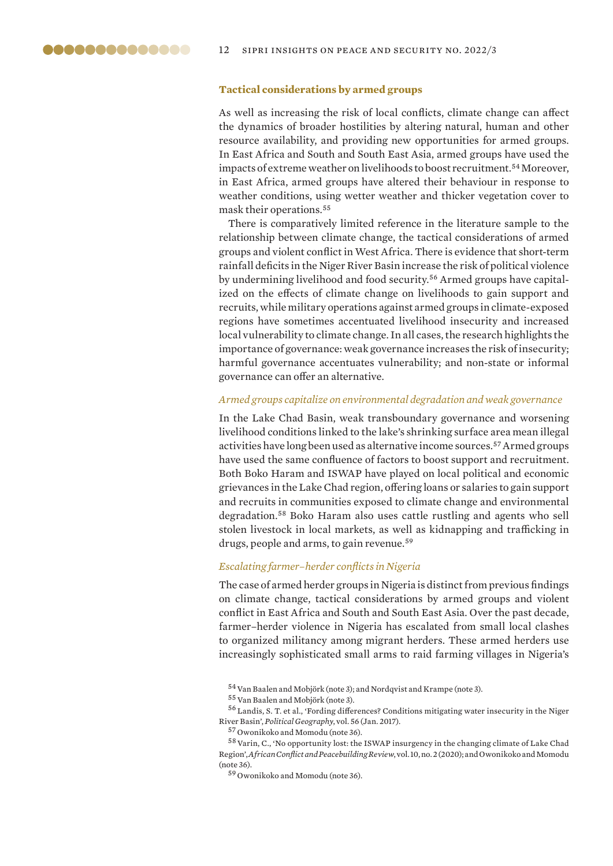### **Tactical considerations by armed groups**

As well as increasing the risk of local conflicts, climate change can affect the dynamics of broader hostilities by altering natural, human and other resource availability, and providing new opportunities for armed groups. In East Africa and South and South East Asia, armed groups have used the impacts of extreme weather on livelihoods to boost recruitment.<sup>54</sup> Moreover, in East Africa, armed groups have altered their behaviour in response to weather conditions, using wetter weather and thicker vegetation cover to mask their operations.<sup>55</sup>

There is comparatively limited reference in the literature sample to the relationship between climate change, the tactical considerations of armed groups and violent conflict in West Africa. There is evidence that short-term rainfall deficits in the Niger River Basin increase the risk of political violence by undermining livelihood and food security.56 Armed groups have capitalized on the effects of climate change on livelihoods to gain support and recruits, while military operations against armed groups in climate-exposed regions have sometimes accentuated livelihood insecurity and increased local vulnerability to climate change. In all cases, the research highlights the importance of governance: weak governance increases the risk of insecurity; harmful governance accentuates vulnerability; and non-state or informal governance can offer an alternative.

### *Armed groups capitalize on environmental degradation and weak governance*

In the Lake Chad Basin, weak transboundary governance and worsening livelihood conditions linked to the lake's shrinking surface area mean illegal activities have long been used as alternative income sources.<sup>57</sup> Armed groups have used the same confluence of factors to boost support and recruitment. Both Boko Haram and ISWAP have played on local political and economic grievances in the Lake Chad region, offering loans or salaries to gain support and recruits in communities exposed to climate change and environmental degradation.<sup>58</sup> Boko Haram also uses cattle rustling and agents who sell stolen livestock in local markets, as well as kidnapping and trafficking in drugs, people and arms, to gain revenue.<sup>59</sup>

### *Escalating farmer–herder conflicts in Nigeria*

The case of armed herder groups in Nigeria is distinct from previous findings on climate change, tactical considerations by armed groups and violent conflict in East Africa and South and South East Asia. Over the past decade, farmer–herder violence in Nigeria has escalated from small local clashes to organized militancy among migrant herders. These armed herders use increasingly sophisticated small arms to raid farming villages in Nigeria's

<sup>&</sup>lt;sup>54</sup> Van Baalen and Mobjörk (note 3); and Nordqvist and Krampe (note 3).

<sup>&</sup>lt;sup>55</sup> Van Baalen and Mobjörk (note 3).

<sup>56</sup> Landis, S. T. et al., '[Fording differences? Conditions mitigating water insecurity in the Niger](https://www.sciencedirect.com/science/article/abs/pii/S0962629816302050)  [River Basin'](https://www.sciencedirect.com/science/article/abs/pii/S0962629816302050), *Political Geography*, vol. 56 (Jan. 2017).

<sup>57</sup> Owonikoko and Momodu (note 36).

<sup>58</sup>Varin, C., '[No opportunity lost: the ISWAP insurgency in the changing climate of Lake Chad](https://www.jstor.org/stable/10.2979/africonfpeacrevi.10.2.07)  [Region](https://www.jstor.org/stable/10.2979/africonfpeacrevi.10.2.07)', *African Conflict and Peacebuilding Review*, vol. 10, no. 2 (2020); and Owonikoko and Momodu (note 36).

<sup>59</sup> Owonikoko and Momodu (note 36).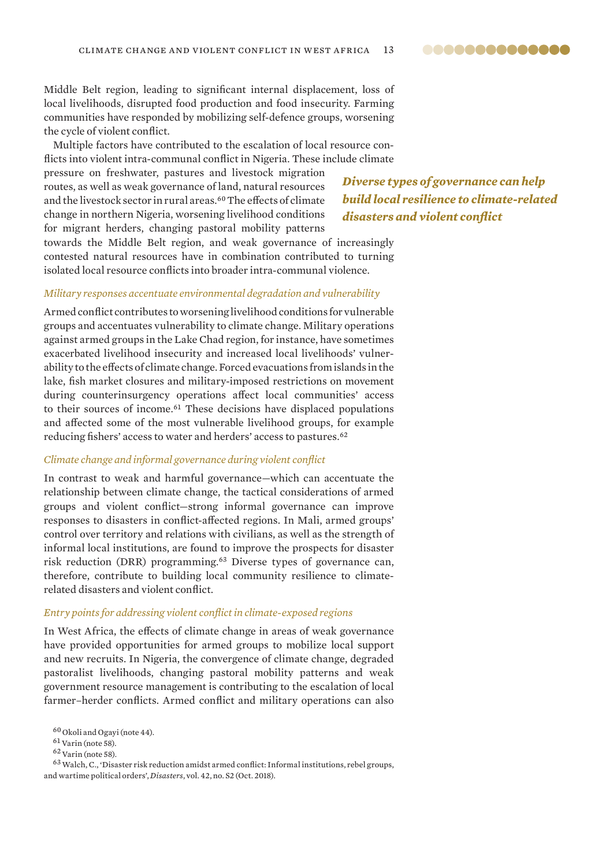Middle Belt region, leading to significant internal displacement, loss of local livelihoods, disrupted food production and food insecurity. Farming communities have responded by mobilizing self-defence groups, worsening the cycle of violent conflict.

Multiple factors have contributed to the escalation of local resource conflicts into violent intra-communal conflict in Nigeria. These include climate

pressure on freshwater, pastures and livestock migration routes, as well as weak governance of land, natural resources and the livestock sector in rural areas.<sup>60</sup> The effects of climate change in northern Nigeria, worsening livelihood conditions for migrant herders, changing pastoral mobility patterns

*Diverse types of governance can help build local resilience to climate-related disasters and violent conflict*

towards the Middle Belt region, and weak governance of increasingly contested natural resources have in combination contributed to turning isolated local resource conflicts into broader intra-communal violence.

### *Military responses accentuate environmental degradation and vulnerability*

Armed conflict contributes to worsening livelihood conditions for vulnerable groups and accentuates vulnerability to climate change. Military operations against armed groups in the Lake Chad region, for instance, have sometimes exacerbated livelihood insecurity and increased local livelihoods' vulnerability to the effects of climate change. Forced evacuations from islands in the lake, fish market closures and military-imposed restrictions on movement during counterinsurgency operations affect local communities' access to their sources of income.<sup>61</sup> These decisions have displaced populations and affected some of the most vulnerable livelihood groups, for example reducing fishers' access to water and herders' access to pastures.<sup>62</sup>

### *Climate change and informal governance during violent conflict*

In contrast to weak and harmful governance—which can accentuate the relationship between climate change, the tactical considerations of armed groups and violent conflict—strong informal governance can improve responses to disasters in conflict-affected regions. In Mali, armed groups' control over territory and relations with civilians, as well as the strength of informal local institutions, are found to improve the prospects for disaster risk reduction (DRR) programming.<sup>63</sup> Diverse types of governance can, therefore, contribute to building local community resilience to climaterelated disasters and violent conflict.

### *Entry points for addressing violent conflict in climate-exposed regions*

In West Africa, the effects of climate change in areas of weak governance have provided opportunities for armed groups to mobilize local support and new recruits. In Nigeria, the convergence of climate change, degraded pastoralist livelihoods, changing pastoral mobility patterns and weak government resource management is contributing to the escalation of local farmer–herder conflicts. Armed conflict and military operations can also

<sup>63</sup>Walch, C., ['Disaster risk reduction amidst armed conflict: Informal institutions, rebel groups,](https://onlinelibrary.wiley.com/doi/10.1111/disa.12309)  [and wartime political orders](https://onlinelibrary.wiley.com/doi/10.1111/disa.12309)', *Disasters*, vol. 42, no. S2 (Oct. 2018).

 $^{60}\rm{O}$ koli and Ogayi (note 44).

 $^{61}\rm{Var}$  (note 58).

 $62$  Varin (note 58).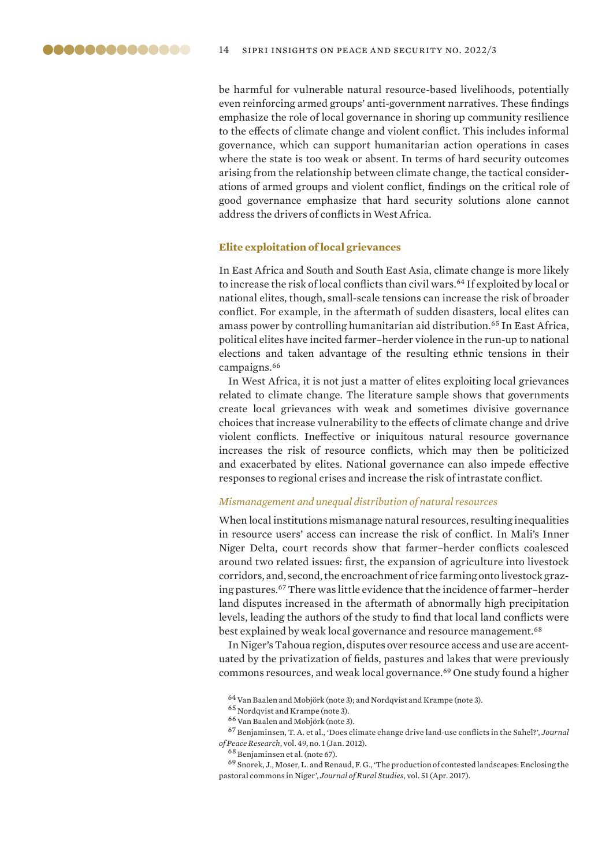<span id="page-13-0"></span>be harmful for vulnerable natural resource-based livelihoods, potentially even reinforcing armed groups' anti-government narratives. These findings emphasize the role of local governance in shoring up community resilience to the effects of climate change and violent conflict. This includes informal governance, which can support humanitarian action operations in cases where the state is too weak or absent. In terms of hard security outcomes arising from the relationship between climate change, the tactical considerations of armed groups and violent conflict, findings on the critical role of good governance emphasize that hard security solutions alone cannot address the drivers of conflicts in West Africa.

### **Elite exploitation of local grievances**

In East Africa and South and South East Asia, climate change is more likely to increase the risk of local conflicts than civil wars.<sup>64</sup> If exploited by local or national elites, though, small-scale tensions can increase the risk of broader conflict. For example, in the aftermath of sudden disasters, local elites can amass power by controlling humanitarian aid distribution.<sup>65</sup> In East Africa, political elites have incited farmer–herder violence in the run-up to national elections and taken advantage of the resulting ethnic tensions in their campaigns.<sup>66</sup>

In West Africa, it is not just a matter of elites exploiting local grievances related to climate change. The literature sample shows that governments create local grievances with weak and sometimes divisive governance choices that increase vulnerability to the effects of climate change and drive violent conflicts. Ineffective or iniquitous natural resource governance increases the risk of resource conflicts, which may then be politicized and exacerbated by elites. National governance can also impede effective responses to regional crises and increase the risk of intrastate conflict.

### *Mismanagement and unequal distribution of natural resources*

When local institutions mismanage natural resources, resulting inequalities in resource users' access can increase the risk of conflict. In Mali's Inner Niger Delta, court records show that farmer–herder conflicts coalesced around two related issues: first, the expansion of agriculture into livestock corridors, and, second, the encroachment of rice farming onto livestock grazing pastures.<sup>67</sup> There was little evidence that the incidence of farmer–herder land disputes increased in the aftermath of abnormally high precipitation levels, leading the authors of the study to find that local land conflicts were best explained by weak local governance and resource management.<sup>68</sup>

In Niger's Tahoua region, disputes over resource access and use are accentuated by the privatization of fields, pastures and lakes that were previously commons resources, and weak local governance.<sup>69</sup> One study found a higher

 $64$  Van Baalen and Mobjörk (note 3); and Nordqvist and Krampe (note 3).

<sup>65</sup> Nordqvist and Krampe (note 3).

<sup>&</sup>lt;sup>66</sup> Van Baalen and Mobjörk (note 3).

<sup>67</sup> Benjaminsen, T. A. et al., '[Does climate change drive land-use conflicts in the Sahel?](https://journals.sagepub.com/doi/abs/10.1177/0022343311427343)', *Journal of Peace Research*, vol. 49, no. 1 (Jan. 2012).

<sup>68</sup> Benjaminsen et al. (note 67).

<sup>69</sup> Snorek, J., Moser, L. and Renaud, F. G., '[The production of contested landscapes: Enclosing the](https://www.sciencedirect.com/science/article/abs/pii/S0743016716302522)  [pastoral commons in Niger](https://www.sciencedirect.com/science/article/abs/pii/S0743016716302522)', *Journal of Rural Studies*, vol. 51 (Apr. 2017).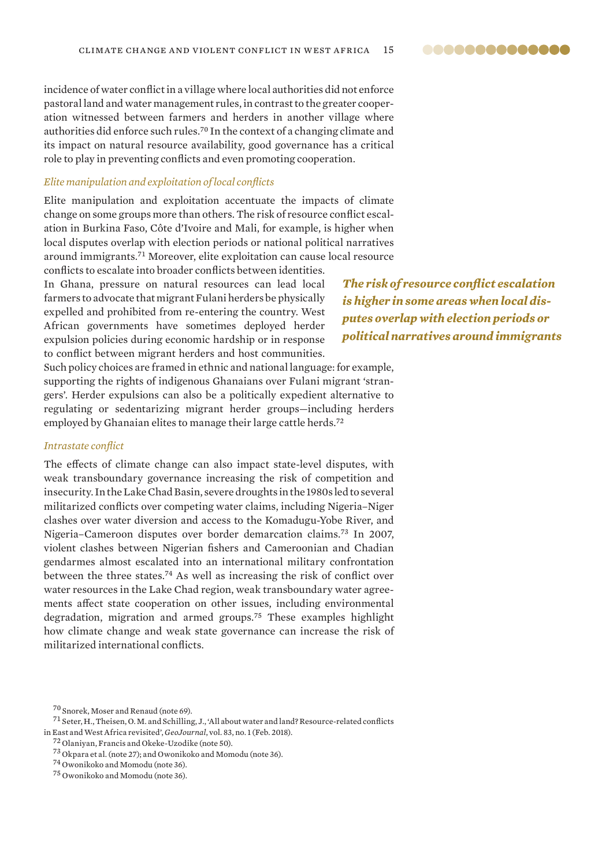incidence of water conflict in a village where local authorities did not enforce pastoral land and water management rules, in contrast to the greater cooperation witnessed between farmers and herders in another village where authorities did enforce such rules.<sup>70</sup> In the context of a changing climate and its impact on natural resource availability, good governance has a critical role to play in preventing conflicts and even promoting cooperation.

### *Elite manipulation and exploitation of local conflicts*

Elite manipulation and exploitation accentuate the impacts of climate change on some groups more than others. The risk of resource conflict escalation in Burkina Faso, Côte d'Ivoire and Mali, for example, is higher when local disputes overlap with election periods or national political narratives around immigrants.<sup>71</sup> Moreover, elite exploitation can cause local resource

conflicts to escalate into broader conflicts between identities. In Ghana, pressure on natural resources can lead local farmers to advocate that migrant Fulani herders be physically expelled and prohibited from re-entering the country. West African governments have sometimes deployed herder expulsion policies during economic hardship or in response to conflict between migrant herders and host communities.

*The risk of resource conflict escalation is higher in some areas when local disputes overlap with election periods or political narratives around immigrants*

Such policy choices are framed in ethnic and national language: for example, supporting the rights of indigenous Ghanaians over Fulani migrant 'strangers'. Herder expulsions can also be a politically expedient alternative to regulating or sedentarizing migrant herder groups—including herders employed by Ghanaian elites to manage their large cattle herds.<sup>72</sup>

### *Intrastate conflict*

The effects of climate change can also impact state-level disputes, with weak transboundary governance increasing the risk of competition and insecurity. In the Lake Chad Basin, severe droughts in the 1980s led to several militarized conflicts over competing water claims, including Nigeria–Niger clashes over water diversion and access to the Komadugu-Yobe River, and Nigeria–Cameroon disputes over border demarcation claims.<sup>73</sup> In 2007, violent clashes between Nigerian fishers and Cameroonian and Chadian gendarmes almost escalated into an international military confrontation between the three states.<sup>74</sup> As well as increasing the risk of conflict over water resources in the Lake Chad region, weak transboundary water agreements affect state cooperation on other issues, including environmental degradation, migration and armed groups.<sup>75</sup> These examples highlight how climate change and weak state governance can increase the risk of militarized international conflicts.

<sup>70</sup> Snorek, Moser and Renaud (note 69).

 $^{71}$  Seter, H., Theisen, O.M. and Schilling, J., 'All about water and land? Resource-related conflicts [in East and West Africa revisited](https://link.springer.com/article/10.1007/s10708-016-9762-7)', *GeoJournal*, vol. 83, no. 1 (Feb. 2018).

<sup>72</sup> Olaniyan, Francis and Okeke-Uzodike (note 50).

<sup>73</sup> Okpara et al. (note 27); and Owonikoko and Momodu (note 36).

<sup>74</sup> Owonikoko and Momodu (note 36).

<sup>75</sup> Owonikoko and Momodu (note 36).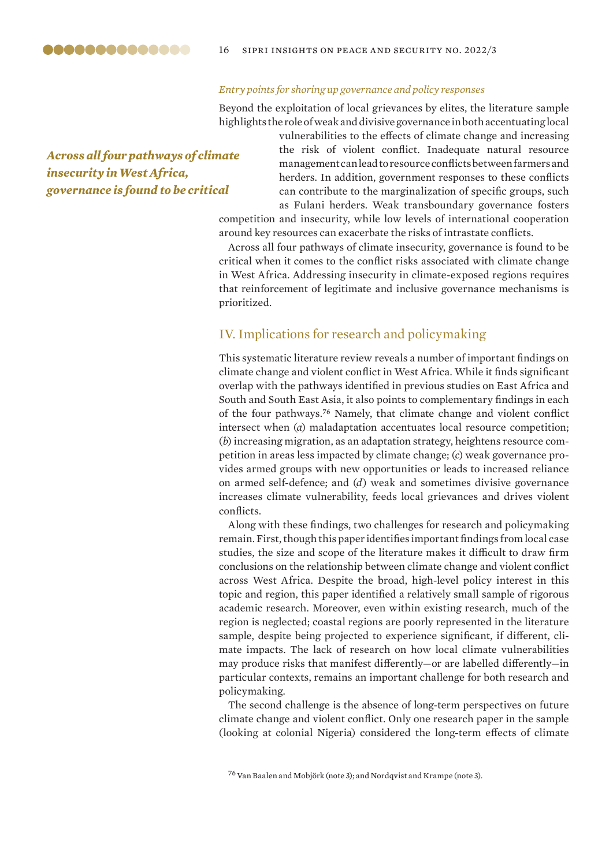<span id="page-15-0"></span>

### 16 sipri insights on peace and security no. 2022/3

### *Entry points for shoring up governance and policy responses*

Beyond the exploitation of local grievances by elites, the literature sample highlights the role of weak and divisive governance in both accentuating local

*Across all four pathways of climate insecurity in West Africa, governance is found to be critical* 

vulnerabilities to the effects of climate change and increasing the risk of violent conflict. Inadequate natural resource management can lead to resource conflicts between farmers and herders. In addition, government responses to these conflicts can contribute to the marginalization of specific groups, such as Fulani herders. Weak transboundary governance fosters competition and insecurity, while low levels of international cooperation

around key resources can exacerbate the risks of intrastate conflicts.

Across all four pathways of climate insecurity, governance is found to be critical when it comes to the conflict risks associated with climate change in West Africa. Addressing insecurity in climate-exposed regions requires that reinforcement of legitimate and inclusive governance mechanisms is prioritized.

### IV. Implications for research and policymaking

This systematic literature review reveals a number of important findings on climate change and violent conflict in West Africa. While it finds significant overlap with the pathways identified in previous studies on East Africa and South and South East Asia, it also points to complementary findings in each of the four pathways.<sup>76</sup> Namely, that climate change and violent conflict intersect when (*a*) maladaptation accentuates local resource competition; (*b*) increasing migration, as an adaptation strategy, heightens resource competition in areas less impacted by climate change; (*c*) weak governance provides armed groups with new opportunities or leads to increased reliance on armed self-defence; and (*d*) weak and sometimes divisive governance increases climate vulnerability, feeds local grievances and drives violent conflicts.

Along with these findings, two challenges for research and policymaking remain. First, though this paper identifies important findings from local case studies, the size and scope of the literature makes it difficult to draw firm conclusions on the relationship between climate change and violent conflict across West Africa. Despite the broad, high-level policy interest in this topic and region, this paper identified a relatively small sample of rigorous academic research. Moreover, even within existing research, much of the region is neglected; coastal regions are poorly represented in the literature sample, despite being projected to experience significant, if different, climate impacts. The lack of research on how local climate vulnerabilities may produce risks that manifest differently—or are labelled differently—in particular contexts, remains an important challenge for both research and policymaking.

The second challenge is the absence of long-term perspectives on future climate change and violent conflict. Only one research paper in the sample (looking at colonial Nigeria) considered the long-term effects of climate

 $^{76}$  Van Baalen and Mobjörk (note 3); and Nordqvist and Krampe (note 3).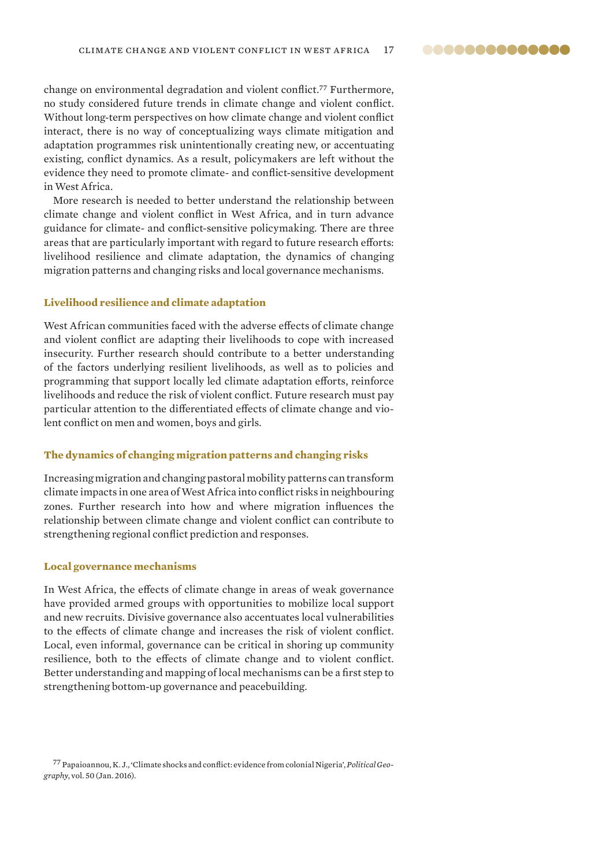<span id="page-16-0"></span>change on environmental degradation and violent conflict.<sup>77</sup> Furthermore, no study considered future trends in climate change and violent conflict. Without long-term perspectives on how climate change and violent conflict interact, there is no way of conceptualizing ways climate mitigation and adaptation programmes risk unintentionally creating new, or accentuating existing, conflict dynamics. As a result, policymakers are left without the evidence they need to promote climate- and conflict-sensitive development in West Africa.

More research is needed to better understand the relationship between climate change and violent conflict in West Africa, and in turn advance guidance for climate- and conflict-sensitive policymaking. There are three areas that are particularly important with regard to future research efforts: livelihood resilience and climate adaptation, the dynamics of changing migration patterns and changing risks and local governance mechanisms.

#### **Livelihood resilience and climate adaptation**

West African communities faced with the adverse effects of climate change and violent conflict are adapting their livelihoods to cope with increased insecurity. Further research should contribute to a better understanding of the factors underlying resilient livelihoods, as well as to policies and programming that support locally led climate adaptation efforts, reinforce livelihoods and reduce the risk of violent conflict. Future research must pay particular attention to the differentiated effects of climate change and violent conflict on men and women, boys and girls.

### **The dynamics of changing migration patterns and changing risks**

Increasing migration and changing pastoral mobility patterns can transform climate impacts in one area of West Africa into conflict risks in neighbouring zones. Further research into how and where migration influences the relationship between climate change and violent conflict can contribute to strengthening regional conflict prediction and responses.

#### **Local governance mechanisms**

In West Africa, the effects of climate change in areas of weak governance have provided armed groups with opportunities to mobilize local support and new recruits. Divisive governance also accentuates local vulnerabilities to the effects of climate change and increases the risk of violent conflict. Local, even informal, governance can be critical in shoring up community resilience, both to the effects of climate change and to violent conflict. Better understanding and mapping of local mechanisms can be a first step to strengthening bottom-up governance and peacebuilding.

<sup>77</sup> Papaioannou, K. J., '[Climate shocks and conflict: evidence from colonial Nigeria'](https://www.sciencedirect.com/science/article/abs/pii/S0962629815000578?via%3Dihub), *Political Geography*, vol. 50 (Jan. 2016).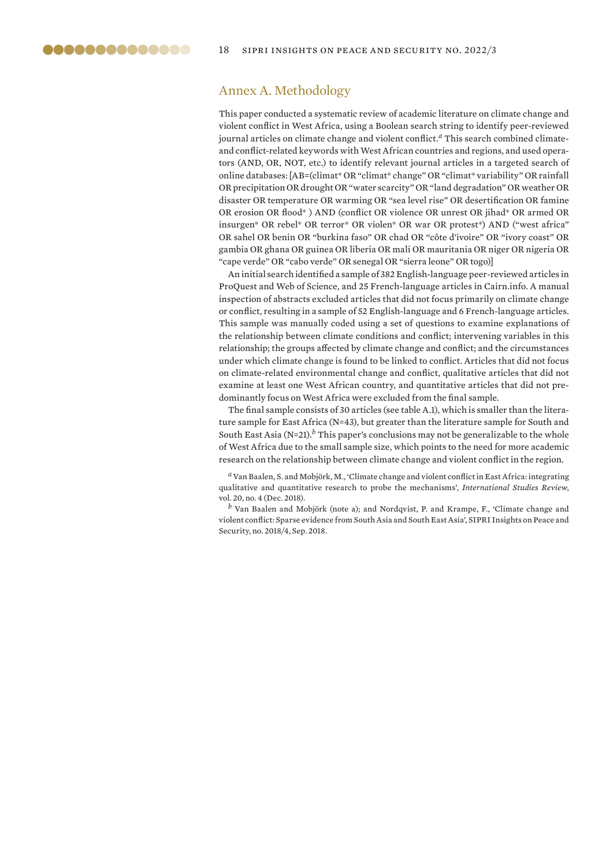### <span id="page-17-0"></span>Annex A. Methodology

This paper conducted a systematic review of academic literature on climate change and violent conflict in West Africa, using a Boolean search string to identify peer-reviewed journal articles on climate change and violent conflict.*a* This search combined climateand conflict-related keywords with West African countries and regions, and used operators (AND, OR, NOT, etc.) to identify relevant journal articles in a targeted search of online databases: [AB=(climat\* OR "climat\* change" OR "climat\* variability" OR rainfall OR precipitation OR drought OR "water scarcity" OR "land degradation" OR weather OR disaster OR temperature OR warming OR "sea level rise" OR desertification OR famine OR erosion OR flood\* ) AND (conflict OR violence OR unrest OR jihad\* OR armed OR insurgen\* OR rebel\* OR terror\* OR violen\* OR war OR protest\*) AND ("west africa" OR sahel OR benin OR "burkina faso" OR chad OR "côte d'ivoire" OR "ivory coast" OR gambia OR ghana OR guinea OR liberia OR mali OR mauritania OR niger OR nigeria OR "cape verde" OR "cabo verde" OR senegal OR "sierra leone" OR togo)]

An initial search identified a sample of 382 English-language peer-reviewed articles in ProQuest and Web of Science, and 25 French-language articles in Cairn.info. A manual inspection of abstracts excluded articles that did not focus primarily on climate change or conflict, resulting in a sample of 52 English-language and 6 French-language articles. This sample was manually coded using a set of questions to examine explanations of the relationship between climate conditions and conflict; intervening variables in this relationship; the groups affected by climate change and conflict; and the circumstances under which climate change is found to be linked to conflict. Articles that did not focus on climate-related environmental change and conflict, qualitative articles that did not examine at least one West African country, and quantitative articles that did not predominantly focus on West Africa were excluded from the final sample.

The final sample consists of 30 articles (see table A.1), which is smaller than the literature sample for East Africa (N=43), but greater than the literature sample for South and South East Asia (N=21).*b* This paper's conclusions may not be generalizable to the whole of West Africa due to the small sample size, which points to the need for more academic research on the relationship between climate change and violent conflict in the region.

*<sup>a</sup>* Van Baalen, S. and Mobjörk, M., ['Climate change and violent conflict in East Africa: integrating](https://academic.oup.com/isr/article/20/4/547/4616607)  [qualitative and quantitative research to probe the mechanisms](https://academic.oup.com/isr/article/20/4/547/4616607)', *International Studies Review*, vol. 20, no. 4 (Dec. 2018).

*<sup>b</sup>* Van Baalen and Mobjörk (note a); and Nordqvist, P. and Krampe, F., '[Climate change and](https://www.sipri.org/sites/default/files/2018-09/sipriinsight1804.pdf)  [violent conflict: Sparse evidence from South Asia and South East Asia'](https://www.sipri.org/sites/default/files/2018-09/sipriinsight1804.pdf), SIPRI Insights on Peace and Security, no. 2018/4, Sep. 2018.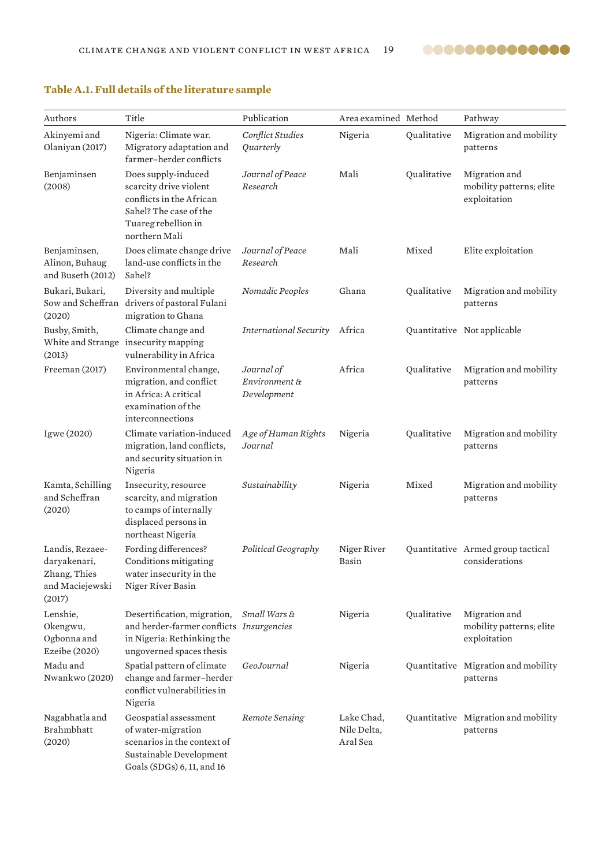

| Authors                                                                      | Title                                                                                                                                       | Publication                                | Area examined Method                  |             | Pathway                                                   |
|------------------------------------------------------------------------------|---------------------------------------------------------------------------------------------------------------------------------------------|--------------------------------------------|---------------------------------------|-------------|-----------------------------------------------------------|
| Akinyemi and<br>Olaniyan (2017)                                              | Nigeria: Climate war.<br>Migratory adaptation and<br>farmer-herder conflicts                                                                | Conflict Studies<br>Quarterly              | Nigeria                               | Qualitative | Migration and mobility<br>patterns                        |
| Benjaminsen<br>(2008)                                                        | Does supply-induced<br>scarcity drive violent<br>conflicts in the African<br>Sahel? The case of the<br>Tuareg rebellion in<br>northern Mali | Journal of Peace<br>Research               | Mali                                  | Qualitative | Migration and<br>mobility patterns; elite<br>exploitation |
| Benjaminsen,<br>Alinon, Buhaug<br>and Buseth (2012)                          | Does climate change drive<br>land-use conflicts in the<br>Sahel?                                                                            | Journal of Peace<br>Research               | Mali                                  | Mixed       | Elite exploitation                                        |
| Bukari, Bukari,<br>Sow and Scheffran<br>(2020)                               | Diversity and multiple<br>drivers of pastoral Fulani<br>migration to Ghana                                                                  | Nomadic Peoples                            | Ghana                                 | Qualitative | Migration and mobility<br>patterns                        |
| Busby, Smith,<br>White and Strange<br>(2013)                                 | Climate change and<br>insecurity mapping<br>vulnerability in Africa                                                                         | <b>International Security</b>              | Africa                                |             | Quantitative Not applicable                               |
| Freeman (2017)                                                               | Environmental change,<br>migration, and conflict<br>in Africa: A critical<br>examination of the<br>interconnections                         | Journal of<br>Environment &<br>Development | Africa                                | Qualitative | Migration and mobility<br>patterns                        |
| Igwe (2020)                                                                  | Climate variation-induced<br>migration, land conflicts,<br>and security situation in<br>Nigeria                                             | Age of Human Rights<br>Journal             | Nigeria                               | Qualitative | Migration and mobility<br>patterns                        |
| Kamta, Schilling<br>and Scheffran<br>(2020)                                  | Insecurity, resource<br>scarcity, and migration<br>to camps of internally<br>displaced persons in<br>northeast Nigeria                      | Sustainability                             | Nigeria                               | Mixed       | Migration and mobility<br>patterns                        |
| Landis, Rezaee-<br>daryakenari,<br>Zhang, Thies<br>and Maciejewski<br>(2017) | Fording differences?<br>Conditions mitigating<br>water insecurity in the<br>Niger River Basin                                               | Political Geography                        | Niger River<br>Basin                  |             | Quantitative Armed group tactical<br>considerations       |
| Lenshie,<br>Okengwu,<br>Ogbonna and<br>Ezeibe (2020)                         | Desertification, migration,<br>and herder-farmer conflicts Insurgencies<br>in Nigeria: Rethinking the<br>ungoverned spaces thesis           | Small Wars &                               | Nigeria                               | Qualitative | Migration and<br>mobility patterns; elite<br>exploitation |
| Madu and<br>Nwankwo (2020)                                                   | Spatial pattern of climate<br>change and farmer-herder<br>conflict vulnerabilities in<br>Nigeria                                            | GeoJournal                                 | Nigeria                               |             | Quantitative Migration and mobility<br>patterns           |
| Nagabhatla and<br>Brahmbhatt<br>(2020)                                       | Geospatial assessment<br>of water-migration<br>scenarios in the context of<br>Sustainable Development<br>Goals (SDGs) 6, 11, and 16         | Remote Sensing                             | Lake Chad,<br>Nile Delta,<br>Aral Sea |             | Quantitative Migration and mobility<br>patterns           |

## <span id="page-18-0"></span>**Table A.1. Full details of the literature sample**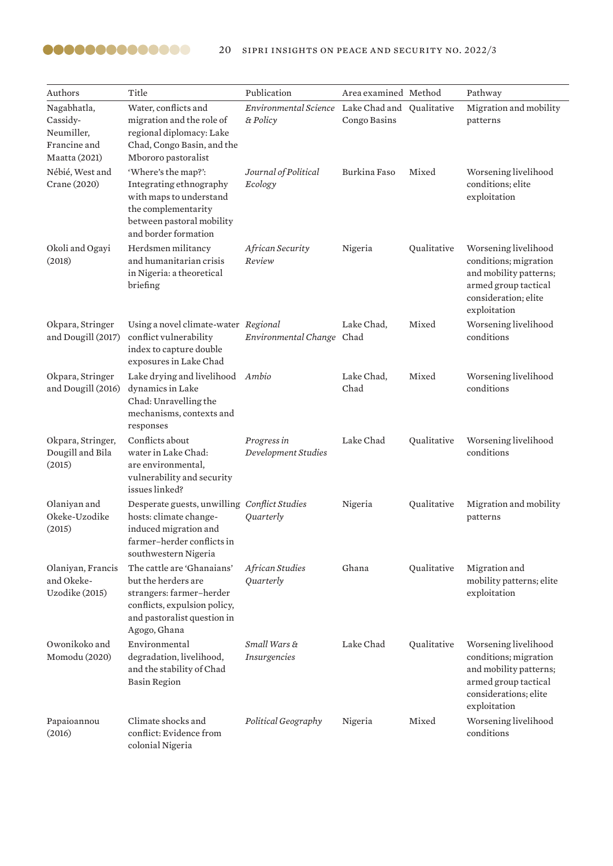| Authors                                                                | Title                                                                                                                                                        | Publication                                                 | Area examined Method |             | Pathway                                                                                                                                  |
|------------------------------------------------------------------------|--------------------------------------------------------------------------------------------------------------------------------------------------------------|-------------------------------------------------------------|----------------------|-------------|------------------------------------------------------------------------------------------------------------------------------------------|
| Nagabhatla,<br>Cassidy-<br>Neumiller,<br>Francine and<br>Maatta (2021) | Water, conflicts and<br>migration and the role of<br>regional diplomacy: Lake<br>Chad, Congo Basin, and the<br>Mbororo pastoralist                           | Environmental Science Lake Chad and Qualitative<br>& Policy | Congo Basins         |             | Migration and mobility<br>patterns                                                                                                       |
| Nébié, West and<br>Crane (2020)                                        | 'Where's the map?':<br>Integrating ethnography<br>with maps to understand<br>the complementarity<br>between pastoral mobility<br>and border formation        | Journal of Political<br>Ecology                             | Burkina Faso         | Mixed       | Worsening livelihood<br>conditions; elite<br>exploitation                                                                                |
| Okoli and Ogayi<br>(2018)                                              | Herdsmen militancy<br>and humanitarian crisis<br>in Nigeria: a theoretical<br>briefing                                                                       | African Security<br>Review                                  | Nigeria              | Qualitative | Worsening livelihood<br>conditions; migration<br>and mobility patterns;<br>armed group tactical<br>consideration; elite<br>exploitation  |
| Okpara, Stringer<br>and Dougill (2017)                                 | Using a novel climate-water Regional<br>conflict vulnerability<br>index to capture double<br>exposures in Lake Chad                                          | Environmental Change Chad                                   | Lake Chad,           | Mixed       | Worsening livelihood<br>conditions                                                                                                       |
| Okpara, Stringer<br>and Dougill (2016)                                 | Lake drying and livelihood Ambio<br>dynamics in Lake<br>Chad: Unravelling the<br>mechanisms, contexts and<br>responses                                       |                                                             | Lake Chad,<br>Chad   | Mixed       | Worsening livelihood<br>conditions                                                                                                       |
| Okpara, Stringer,<br>Dougill and Bila<br>(2015)                        | Conflicts about<br>water in Lake Chad:<br>are environmental,<br>vulnerability and security<br>issues linked?                                                 | Progress in<br>Development Studies                          | Lake Chad            | Qualitative | Worsening livelihood<br>conditions                                                                                                       |
| Olaniyan and<br>Okeke-Uzodike<br>(2015)                                | Desperate guests, unwilling Conflict Studies<br>hosts: climate change-<br>induced migration and<br>farmer-herder conflicts in<br>southwestern Nigeria        | Quarterly                                                   | Nigeria              | Qualitative | Migration and mobility<br>patterns                                                                                                       |
| Olaniyan, Francis<br>and Okeke-<br>Uzodike (2015)                      | The cattle are 'Ghanaians'<br>but the herders are<br>strangers: farmer-herder<br>conflicts, expulsion policy,<br>and pastoralist question in<br>Agogo, Ghana | African Studies<br>Quarterly                                | Ghana                | Qualitative | Migration and<br>mobility patterns; elite<br>exploitation                                                                                |
| Owonikoko and<br>Momodu (2020)                                         | Environmental<br>degradation, livelihood,<br>and the stability of Chad<br><b>Basin Region</b>                                                                | Small Wars &<br>Insurgencies                                | Lake Chad            | Qualitative | Worsening livelihood<br>conditions; migration<br>and mobility patterns;<br>armed group tactical<br>considerations; elite<br>exploitation |
| Papaioannou<br>(2016)                                                  | Climate shocks and<br>conflict: Evidence from<br>colonial Nigeria                                                                                            | Political Geography                                         | Nigeria              | Mixed       | Worsening livelihood<br>conditions                                                                                                       |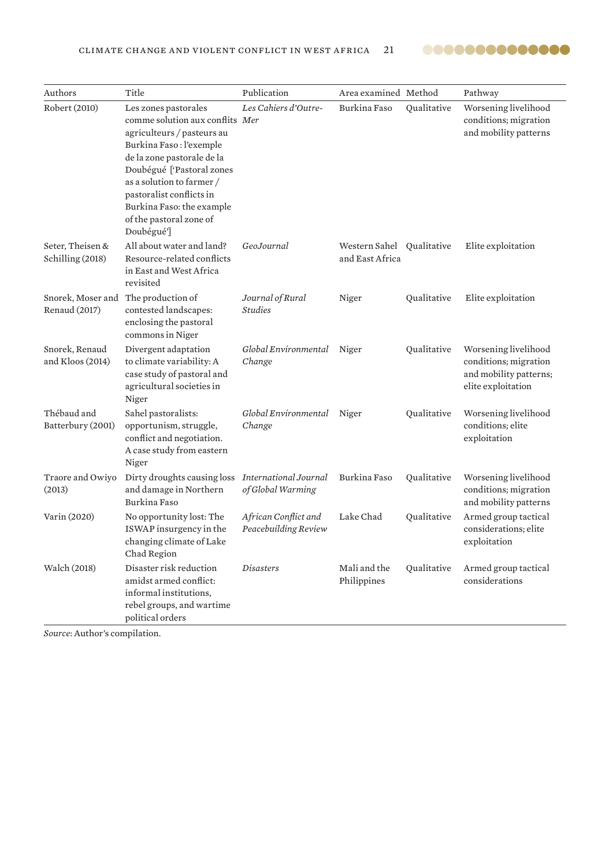

| Authors                              | Title                                                                                                                                                                                                                                                                                                      | Publication                                  | Area examined Method                         |             | Pathway                                                                                       |
|--------------------------------------|------------------------------------------------------------------------------------------------------------------------------------------------------------------------------------------------------------------------------------------------------------------------------------------------------------|----------------------------------------------|----------------------------------------------|-------------|-----------------------------------------------------------------------------------------------|
| Robert (2010)                        | Les zones pastorales<br>comme solution aux conflits Mer<br>agriculteurs / pasteurs au<br>Burkina Faso: l'exemple<br>de la zone pastorale de la<br>Doubégué ['Pastoral zones<br>as a solution to farmer /<br>pastoralist conflicts in<br>Burkina Faso: the example<br>of the pastoral zone of<br>Doubégué'] | Les Cahiers d'Outre-                         | Burkina Faso                                 | Qualitative | Worsening livelihood<br>conditions; migration<br>and mobility patterns                        |
| Seter, Theisen &<br>Schilling (2018) | All about water and land?<br>Resource-related conflicts<br>in East and West Africa<br>revisited                                                                                                                                                                                                            | GeoJournal                                   | Western Sahel Qualitative<br>and East Africa |             | Elite exploitation                                                                            |
| Snorek, Moser and<br>Renaud (2017)   | The production of<br>contested landscapes:<br>enclosing the pastoral<br>commons in Niger                                                                                                                                                                                                                   | Journal of Rural<br><b>Studies</b>           | Niger                                        | Qualitative | Elite exploitation                                                                            |
| Snorek, Renaud<br>and Kloos (2014)   | Divergent adaptation<br>to climate variability: A<br>case study of pastoral and<br>agricultural societies in<br>Niger                                                                                                                                                                                      | Global Environmental<br>Change               | Niger                                        | Qualitative | Worsening livelihood<br>conditions; migration<br>and mobility patterns;<br>elite exploitation |
| Thébaud and<br>Batterbury (2001)     | Sahel pastoralists:<br>opportunism, struggle,<br>conflict and negotiation.<br>A case study from eastern<br>Niger                                                                                                                                                                                           | Global Environmental<br>Change               | Niger                                        | Qualitative | Worsening livelihood<br>conditions; elite<br>exploitation                                     |
| Traore and Owiyo<br>(2013)           | Dirty droughts causing loss<br>and damage in Northern<br>Burkina Faso                                                                                                                                                                                                                                      | International Journal<br>of Global Warming   | Burkina Faso                                 | Qualitative | Worsening livelihood<br>conditions; migration<br>and mobility patterns                        |
| Varin (2020)                         | No opportunity lost: The<br>ISWAP insurgency in the<br>changing climate of Lake<br>Chad Region                                                                                                                                                                                                             | African Conflict and<br>Peacebuilding Review | Lake Chad                                    | Qualitative | Armed group tactical<br>considerations; elite<br>exploitation                                 |
| Walch (2018)                         | Disaster risk reduction<br>amidst armed conflict:<br>informal institutions,<br>rebel groups, and wartime<br>political orders                                                                                                                                                                               | <i>Disasters</i>                             | Mali and the<br>Philippines                  | Qualitative | Armed group tactical<br>considerations                                                        |

*Source*: Author's compilation.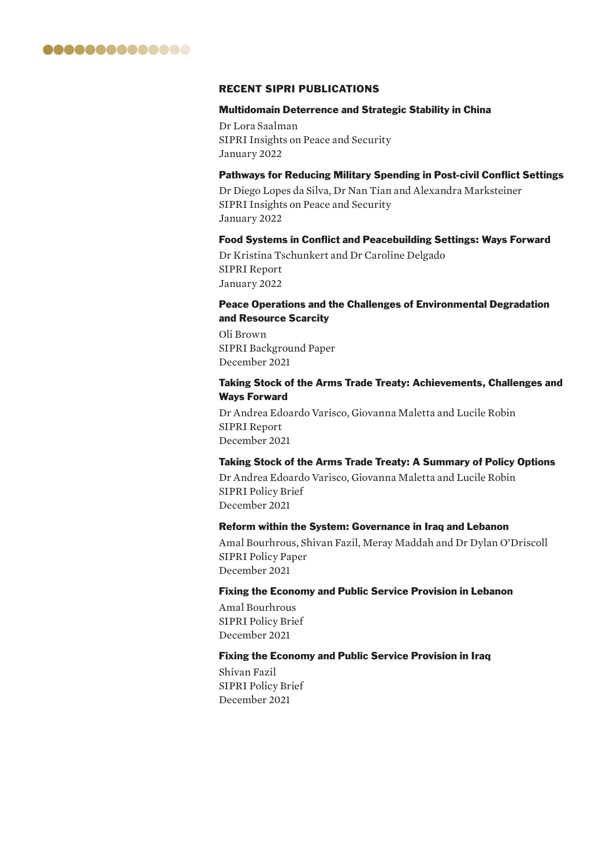

### RECENT SIPRI PUBLICATIONS

### Multidomain Deterrence and Strategic Stability in China

Dr Lora Saalman SIPRI Insights on Peace and Security January 2022

### Pathways for Reducing Military Spending in Post-civil Conflict Settings

Dr Diego Lopes da Silva, Dr Nan Tian and Alexandra Marksteiner SIPRI Insights on Peace and Security January 2022

### Food Systems in Conflict and Peacebuilding Settings: Ways Forward

Dr Kristina Tschunkert and Dr Caroline Delgado SIPRI Report January 2022

### Peace Operations and the Challenges of Environmental Degradation and Resource Scarcity

Oli Brown SIPRI Background Paper December 2021

### Taking Stock of the Arms Trade Treaty: Achievements, Challenges and Ways Forward

Dr Andrea Edoardo Varisco, Giovanna Maletta and Lucile Robin SIPRI Report December 2021

### Taking Stock of the Arms Trade Treaty: A Summary of Policy Options

Dr Andrea Edoardo Varisco, Giovanna Maletta and Lucile Robin SIPRI Policy Brief December 2021

### Reform within the System: Governance in Iraq and Lebanon

Amal Bourhrous, Shivan Fazil, Meray Maddah and Dr Dylan O'Driscoll SIPRI Policy Paper December 2021

### Fixing the Economy and Public Service Provision in Lebanon

Amal Bourhrous SIPRI Policy Brief December 2021

### Fixing the Economy and Public Service Provision in Iraq

Shivan Fazil SIPRI Policy Brief December 2021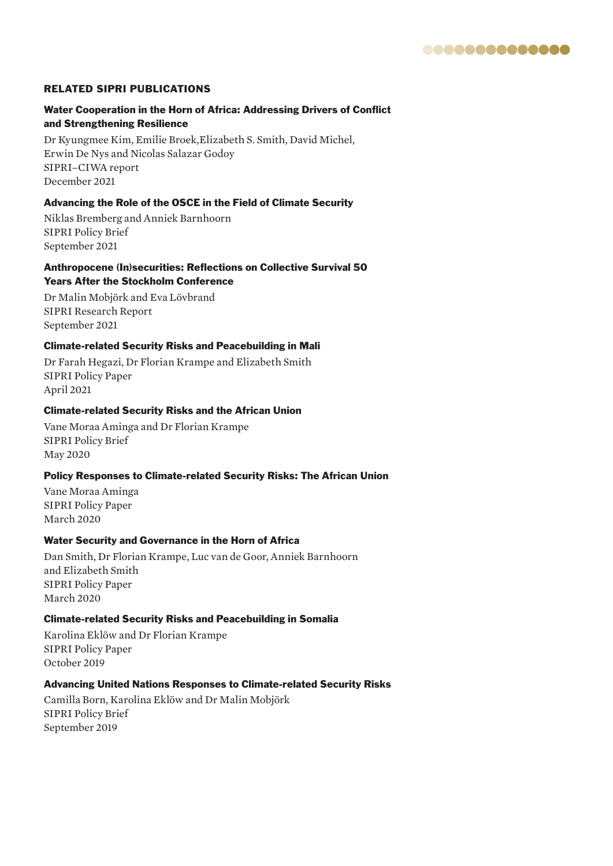

### RELATED SIPRI PUBLICATIONS

### Water Cooperation in the Horn of Africa: Addressing Drivers of Conflict and Strengthening Resilience

Dr Kyungmee Kim, Emilie Broek,Elizabeth S. Smith, David Michel, Erwin De Nys and Nicolas Salazar Godoy SIPRI–CIWA report December 2021

### Advancing the Role of the OSCE in the Field of Climate Security

Niklas Bremberg and Anniek Barnhoorn SIPRI Policy Brief September 2021

### Anthropocene (In)securities: Reflections on Collective Survival 50 Years After the Stockholm Conference

Dr Malin Mobjörk and Eva Lövbrand SIPRI Research Report September 2021

### Climate-related Security Risks and Peacebuilding in Mali

Dr Farah Hegazi, Dr Florian Krampe and Elizabeth Smith SIPRI Policy Paper April 2021

### Climate-related Security Risks and the African Union

Vane Moraa Aminga and Dr Florian Krampe SIPRI Policy Brief May 2020

### Policy Responses to Climate-related Security Risks: The African Union

Vane Moraa Aminga SIPRI Policy Paper March 2020

### Water Security and Governance in the Horn of Africa

Dan Smith, Dr Florian Krampe, Luc van de Goor, Anniek Barnhoorn and Elizabeth Smith SIPRI Policy Paper March 2020

### Climate-related Security Risks and Peacebuilding in Somalia

Karolina Eklöw and Dr Florian Krampe SIPRI Policy Paper October 2019

### Advancing United Nations Responses to Climate-related Security Risks

Camilla Born, Karolina Eklöw and Dr Malin Mobjörk SIPRI Policy Brief September 2019